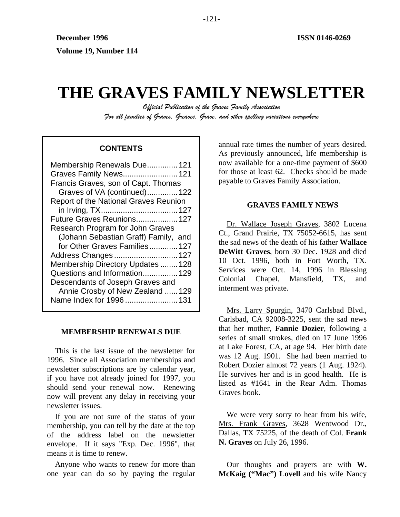# **THE GRAVES FAMILY NEWSLETTER**

*Official Publication of the Graves Family Association For all families of Graves, Greaves, Grave, and other spelling variations everywhere* 

## **CONTENTS**

| Membership Renewals Due 121                  |
|----------------------------------------------|
| Graves Family News 121                       |
| Francis Graves, son of Capt. Thomas          |
| Graves of VA (continued) 122                 |
| <b>Report of the National Graves Reunion</b> |
|                                              |
| Future Graves Reunions 127                   |
| Research Program for John Graves             |
| (Johann Sebastian Graff) Family, and         |
| for Other Graves Families 127                |
|                                              |
| <b>Membership Directory Updates 128</b>      |
| Questions and Information 129                |
| Descendants of Joseph Graves and             |
| Annie Crosby of New Zealand  129             |
| Name Index for 1996  131                     |
|                                              |

#### **MEMBERSHIP RENEWALS DUE**

This is the last issue of the newsletter for 1996. Since all Association memberships and newsletter subscriptions are by calendar year, if you have not already joined for 1997, you should send your renewal now. Renewing now will prevent any delay in receiving your newsletter issues.

If you are not sure of the status of your membership, you can tell by the date at the top of the address label on the newsletter envelope. If it says "Exp. Dec. 1996", that means it is time to renew.

Anyone who wants to renew for more than one year can do so by paying the regular annual rate times the number of years desired. As previously announced, life membership is now available for a one-time payment of \$600 for those at least 62. Checks should be made payable to Graves Family Association.

### **GRAVES FAMILY NEWS**

Dr. Wallace Joseph Graves, 3802 Lucena Ct., Grand Prairie, TX 75052-6615, has sent the sad news of the death of his father **Wallace DeWitt Graves**, born 30 Dec. 1928 and died 10 Oct. 1996, both in Fort Worth, TX. Services were Oct. 14, 1996 in Blessing Colonial Chapel, Mansfield, TX, and interment was private.

Mrs. Larry Spurgin, 3470 Carlsbad Blvd., Carlsbad, CA 92008-3225, sent the sad news that her mother, **Fannie Dozier**, following a series of small strokes, died on 17 June 1996 at Lake Forest, CA, at age 94. Her birth date was 12 Aug. 1901. She had been married to Robert Dozier almost 72 years (1 Aug. 1924). He survives her and is in good health. He is listed as #1641 in the Rear Adm. Thomas Graves book.

We were very sorry to hear from his wife, Mrs. Frank Graves, 3628 Wentwood Dr., Dallas, TX 75225, of the death of Col. **Frank N. Graves** on July 26, 1996.

Our thoughts and prayers are with **W. McKaig ("Mac") Lovell** and his wife Nancy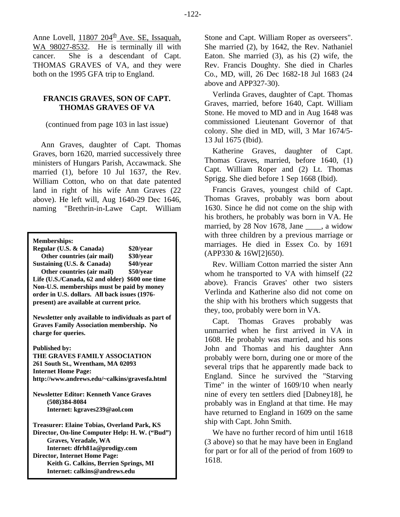Anne Lovell,  $11807 204$ <sup>th</sup> Ave. SE, Issaquah, WA 98027-8532. He is terminally ill with cancer. She is a descendant of Capt. THOMAS GRAVES of VA, and they were both on the 1995 GFA trip to England.

### **FRANCIS GRAVES, SON OF CAPT. THOMAS GRAVES OF VA**

(continued from page 103 in last issue)

Ann Graves, daughter of Capt. Thomas Graves, born 1620, married successively three ministers of Hungars Parish, Accawmack. She married (1), before 10 Jul 1637, the Rev. William Cotton, who on that date patented land in right of his wife Ann Graves (22 above). He left will, Aug 1640-29 Dec 1646, naming "Brethrin-in-Lawe Capt. William

**Memberships:** 

| Regular (U.S. & Canada)                             | \$20/year |  |
|-----------------------------------------------------|-----------|--|
| Other countries (air mail)                          | \$30/year |  |
| Sustaining (U.S. & Canada)                          | \$40/year |  |
| Other countries (air mail)                          | \$50/year |  |
| Life (U.S./Canada, 62 and older) \$600 one time     |           |  |
| Non-U.S. memberships must be paid by money          |           |  |
| order in U.S. dollars. All back issues (1976-       |           |  |
| present) are available at current price.            |           |  |
|                                                     |           |  |
| Newsletter only available to individuals as part of |           |  |
| <b>Graves Family Association membership. No</b>     |           |  |
| charge for queries.                                 |           |  |
|                                                     |           |  |
| <b>Published by:</b>                                |           |  |
| THE GRAVES FAMILY ASSOCIATION                       |           |  |
| 261 South St., Wrentham, MA 02093                   |           |  |
| <b>Internet Home Page:</b>                          |           |  |
| http://www.andrews.edu/~calkins/gravesfa.html       |           |  |
|                                                     |           |  |
| <b>Newsletter Editor: Kenneth Vance Graves</b>      |           |  |
| $(508)384 - 8084$                                   |           |  |
| Internet: kgraves239@aol.com                        |           |  |
|                                                     |           |  |
| Treasurer: Elaine Tobias, Overland Park, KS         |           |  |
| Director, On-line Computer Help: H. W. ("Bud")      |           |  |
| Graves, Veradale, WA                                |           |  |
| Internet: dfrh81a@prodigy.com                       |           |  |
| <b>Director, Internet Home Page:</b>                |           |  |
| Keith G. Calkins, Berrien Springs, MI               |           |  |
| Internet: calkins@andrews.edu                       |           |  |

Stone and Capt. William Roper as overseers". She married (2), by 1642, the Rev. Nathaniel Eaton. She married (3), as his (2) wife, the Rev. Francis Doughty. She died in Charles Co., MD, will, 26 Dec 1682-18 Jul 1683 (24 above and APP327-30).

Verlinda Graves, daughter of Capt. Thomas Graves, married, before 1640, Capt. William Stone. He moved to MD and in Aug 1648 was commissioned Lieutenant Governor of that colony. She died in MD, will, 3 Mar 1674/5- 13 Jul 1675 (Ibid).

Katherine Graves, daughter of Capt. Thomas Graves, married, before 1640, (1) Capt. William Roper and (2) Lt. Thomas Sprigg. She died before 1 Sep 1668 (Ibid).

Francis Graves, youngest child of Capt. Thomas Graves, probably was born about 1630. Since he did not come on the ship with his brothers, he probably was born in VA. He married, by 28 Nov 1678, Jane \_\_\_\_, a widow with three children by a previous marriage or marriages. He died in Essex Co. by 1691 (APP330 & 16W[2]650).

Rev. William Cotton married the sister Ann whom he transported to VA with himself (22 above). Francis Graves' other two sisters Verlinda and Katherine also did not come on the ship with his brothers which suggests that they, too, probably were born in VA.

Capt. Thomas Graves probably was unmarried when he first arrived in VA in 1608. He probably was married, and his sons John and Thomas and his daughter Ann probably were born, during one or more of the several trips that he apparently made back to England. Since he survived the "Starving Time" in the winter of 1609/10 when nearly nine of every ten settlers died [Dabney18], he probably was in England at that time. He may have returned to England in 1609 on the same ship with Capt. John Smith.

We have no further record of him until 1618 (3 above) so that he may have been in England for part or for all of the period of from 1609 to 1618.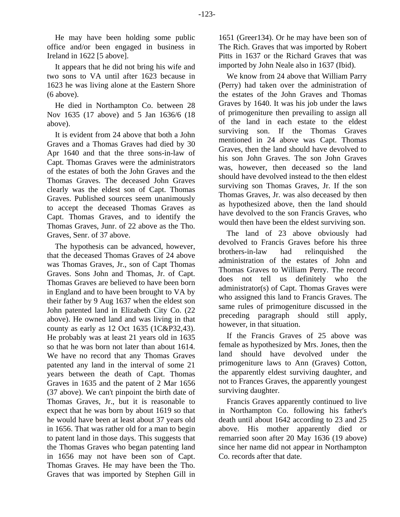He may have been holding some public office and/or been engaged in business in Ireland in 1622 [5 above].

It appears that he did not bring his wife and two sons to VA until after 1623 because in 1623 he was living alone at the Eastern Shore (6 above).

He died in Northampton Co. between 28 Nov 1635 (17 above) and 5 Jan 1636/6 (18 above).

It is evident from 24 above that both a John Graves and a Thomas Graves had died by 30 Apr 1640 and that the three sons-in-law of Capt. Thomas Graves were the administrators of the estates of both the John Graves and the Thomas Graves. The deceased John Graves clearly was the eldest son of Capt. Thomas Graves. Published sources seem unanimously to accept the deceased Thomas Graves as Capt. Thomas Graves, and to identify the Thomas Graves, Junr. of 22 above as the Tho. Graves, Senr. of 37 above.

The hypothesis can be advanced, however, that the deceased Thomas Graves of 24 above was Thomas Graves, Jr., son of Capt Thomas Graves. Sons John and Thomas, Jr. of Capt. Thomas Graves are believed to have been born in England and to have been brought to VA by their father by 9 Aug 1637 when the eldest son John patented land in Elizabeth City Co. (22 above). He owned land and was living in that county as early as 12 Oct 1635 (1C&P32,43). He probably was at least 21 years old in 1635 so that he was born not later than about 1614. We have no record that any Thomas Graves patented any land in the interval of some 21 years between the death of Capt. Thomas Graves in 1635 and the patent of 2 Mar 1656 (37 above). We can't pinpoint the birth date of Thomas Graves, Jr., but it is reasonable to expect that he was born by about 1619 so that he would have been at least about 37 years old in 1656. That was rather old for a man to begin to patent land in those days. This suggests that the Thomas Graves who began patenting land in 1656 may not have been son of Capt. Thomas Graves. He may have been the Tho. Graves that was imported by Stephen Gill in

1651 (Greer134). Or he may have been son of The Rich. Graves that was imported by Robert Pitts in 1637 or the Richard Graves that was imported by John Neale also in 1637 (Ibid).

We know from 24 above that William Parry (Perry) had taken over the administration of the estates of the John Graves and Thomas Graves by 1640. It was his job under the laws of primogeniture then prevailing to assign all of the land in each estate to the eldest surviving son. If the Thomas Graves mentioned in 24 above was Capt. Thomas Graves, then the land should have devolved to his son John Graves. The son John Graves was, however, then deceased so the land should have devolved instead to the then eldest surviving son Thomas Graves, Jr. If the son Thomas Graves, Jr. was also deceased by then as hypothesized above, then the land should have devolved to the son Francis Graves, who would then have been the eldest surviving son.

The land of 23 above obviously had devolved to Francis Graves before his three brothers-in-law had relinquished the administration of the estates of John and Thomas Graves to William Perry. The record does not tell us definitely who the administrator(s) of Capt. Thomas Graves were who assigned this land to Francis Graves. The same rules of primogeniture discussed in the preceding paragraph should still apply, however, in that situation.

If the Francis Graves of 25 above was female as hypothesized by Mrs. Jones, then the land should have devolved under the primogeniture laws to Ann (Graves) Cotton, the apparently eldest surviving daughter, and not to Frances Graves, the apparently youngest surviving daughter.

Francis Graves apparently continued to live in Northampton Co. following his father's death until about 1642 according to 23 and 25 above. His mother apparently died or remarried soon after 20 May 1636 (19 above) since her name did not appear in Northampton Co. records after that date.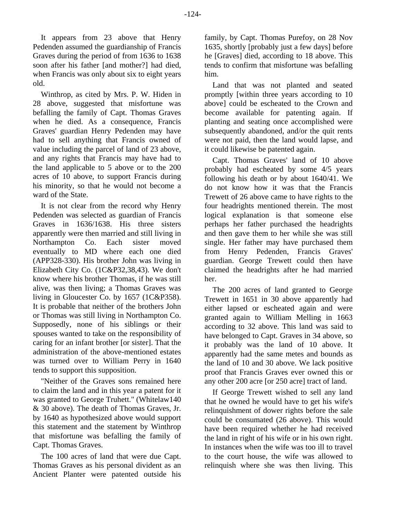It appears from 23 above that Henry Pedenden assumed the guardianship of Francis Graves during the period of from 1636 to 1638 soon after his father [and mother?] had died, when Francis was only about six to eight years old.

Winthrop, as cited by Mrs. P. W. Hiden in 28 above, suggested that misfortune was befalling the family of Capt. Thomas Graves when he died. As a consequence, Francis Graves' guardian Henry Pedenden may have had to sell anything that Francis owned of value including the parcel of land of 23 above, and any rights that Francis may have had to the land applicable to 5 above or to the 200 acres of 10 above, to support Francis during his minority, so that he would not become a ward of the State.

It is not clear from the record why Henry Pedenden was selected as guardian of Francis Graves in 1636/1638. His three sisters apparently were then married and still living in Northampton Co. Each sister moved eventually to MD where each one died (APP328-330). His brother John was living in Elizabeth City Co. (1C&P32,38,43). We don't know where his brother Thomas, if he was still alive, was then living; a Thomas Graves was living in Gloucester Co. by 1657 (1C&P358). It is probable that neither of the brothers John or Thomas was still living in Northampton Co. Supposedly, none of his siblings or their spouses wanted to take on the responsibility of caring for an infant brother [or sister]. That the administration of the above-mentioned estates was turned over to William Perry in 1640 tends to support this supposition.

"Neither of the Graves sons remained here to claim the land and in this year a patent for it was granted to George Truhett." (Whitelaw140 & 30 above). The death of Thomas Graves, Jr. by 1640 as hypothesized above would support this statement and the statement by Winthrop that misfortune was befalling the family of Capt. Thomas Graves.

The 100 acres of land that were due Capt. Thomas Graves as his personal divident as an Ancient Planter were patented outside his family, by Capt. Thomas Purefoy, on 28 Nov 1635, shortly [probably just a few days] before he [Graves] died, according to 18 above. This tends to confirm that misfortune was befalling him.

Land that was not planted and seated promptly [within three years according to 10 above] could be escheated to the Crown and become available for patenting again. If planting and seating once accomplished were subsequently abandoned, and/or the quit rents were not paid, then the land would lapse, and it could likewise be patented again.

Capt. Thomas Graves' land of 10 above probably had escheated by some 4/5 years following his death or by about 1640/41. We do not know how it was that the Francis Trewett of 26 above came to have rights to the four headrights mentioned therein. The most logical explanation is that someone else perhaps her father purchased the headrights and then gave them to her while she was still single. Her father may have purchased them from Henry Pedenden, Francis Graves' guardian. George Trewett could then have claimed the headrights after he had married her.

The 200 acres of land granted to George Trewett in 1651 in 30 above apparently had either lapsed or escheated again and were granted again to William Melling in 1663 according to 32 above. This land was said to have belonged to Capt. Graves in 34 above, so it probably was the land of 10 above. It apparently had the same metes and bounds as the land of 10 and 30 above. We lack positive proof that Francis Graves ever owned this or any other 200 acre [or 250 acre] tract of land.

If George Trewett wished to sell any land that he owned he would have to get his wife's relinquishment of dower rights before the sale could be consumated (26 above). This would have been required whether he had received the land in right of his wife or in his own right. In instances when the wife was too ill to travel to the court house, the wife was allowed to relinquish where she was then living. This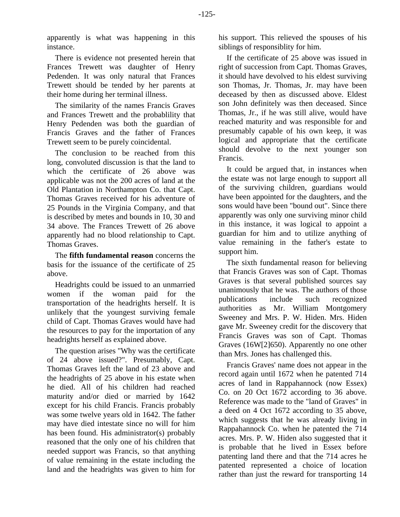apparently is what was happening in this instance.

There is evidence not presented herein that Frances Trewett was daughter of Henry Pedenden. It was only natural that Frances Trewett should be tended by her parents at their home during her terminal illness.

The similarity of the names Francis Graves and Frances Trewett and the probablility that Henry Pedenden was both the guardian of Francis Graves and the father of Frances Trewett seem to be purely coincidental.

The conclusion to be reached from this long, convoluted discussion is that the land to which the certificate of 26 above was applicable was not the 200 acres of land at the Old Plantation in Northampton Co. that Capt. Thomas Graves received for his adventure of 25 Pounds in the Virginia Company, and that is described by metes and bounds in 10, 30 and 34 above. The Frances Trewett of 26 above apparently had no blood relationship to Capt. Thomas Graves.

The **fifth fundamental reason** concerns the basis for the issuance of the certificate of 25 above.

Headrights could be issued to an unmarried women if the woman paid for the transportation of the headrights herself. It is unlikely that the youngest surviving female child of Capt. Thomas Graves would have had the resources to pay for the importation of any headrights herself as explained above.

The question arises "Why was the certificate of 24 above issued?". Presumably, Capt. Thomas Graves left the land of 23 above and the headrights of 25 above in his estate when he died. All of his children had reached maturity and/or died or married by 1642 except for his child Francis. Francis probably was some twelve years old in 1642. The father may have died intestate since no will for him has been found. His administrator(s) probably reasoned that the only one of his children that needed support was Francis, so that anything of value remaining in the estate including the land and the headrights was given to him for

his support. This relieved the spouses of his siblings of responsiblity for him.

If the certificate of 25 above was issued in right of succession from Capt. Thomas Graves, it should have devolved to his eldest surviving son Thomas, Jr. Thomas, Jr. may have been deceased by then as discussed above. Eldest son John definitely was then deceased. Since Thomas, Jr., if he was still alive, would have reached maturity and was responsible for and presumably capable of his own keep, it was logical and appropriate that the certificate should devolve to the next younger son Francis.

It could be argued that, in instances when the estate was not large enough to support all of the surviving children, guardians would have been appointed for the daughters, and the sons would have been "bound out". Since there apparently was only one surviving minor child in this instance, it was logical to appoint a guardian for him and to utilize anything of value remaining in the father's estate to support him.

The sixth fundamental reason for believing that Francis Graves was son of Capt. Thomas Graves is that several published sources say unanimously that he was. The authors of those publications include such recognized authorities as Mr. William Montgomery Sweeney and Mrs. P. W. Hiden. Mrs. Hiden gave Mr. Sweeney credit for the discovery that Francis Graves was son of Capt. Thomas Graves (16W[2]650). Apparently no one other than Mrs. Jones has challenged this.

Francis Graves' name does not appear in the record again until 1672 when he patented 714 acres of land in Rappahannock (now Essex) Co. on 20 Oct 1672 according to 36 above. Reference was made to the "land of Graves" in a deed on 4 Oct 1672 according to 35 above, which suggests that he was already living in Rappahannock Co. when he patented the 714 acres. Mrs. P. W. Hiden also suggested that it is probable that he lived in Essex before patenting land there and that the 714 acres he patented represented a choice of location rather than just the reward for transporting 14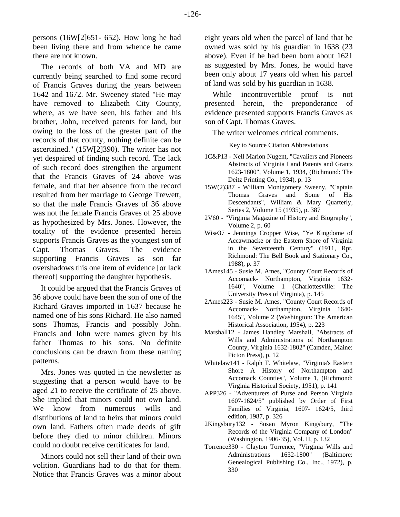persons (16W[2]651- 652). How long he had been living there and from whence he came there are not known.

The records of both VA and MD are currently being searched to find some record of Francis Graves during the years between 1642 and 1672. Mr. Sweeney stated "He may have removed to Elizabeth City County, where, as we have seen, his father and his brother, John, received patents for land, but owing to the loss of the greater part of the records of that county, nothing definite can be ascertained." (15W[2]390). The writer has not yet despaired of finding such record. The lack of such record does strengthen the argument that the Francis Graves of 24 above was female, and that her absence from the record resulted from her marriage to George Trewett, so that the male Francis Graves of 36 above was not the female Francis Graves of 25 above as hypothesized by Mrs. Jones. However, the totality of the evidence presented herein supports Francis Graves as the youngest son of Capt. Thomas Graves. The evidence supporting Francis Graves as son far overshadows this one item of evidence [or lack thereof] supporting the daughter hypothesis.

It could be argued that the Francis Graves of 36 above could have been the son of one of the Richard Graves imported in 1637 because he named one of his sons Richard. He also named sons Thomas, Francis and possibly John. Francis and John were names given by his father Thomas to his sons. No definite conclusions can be drawn from these naming patterns.

Mrs. Jones was quoted in the newsletter as suggesting that a person would have to be aged 21 to receive the certificate of 25 above. She implied that minors could not own land. We know from numerous wills and distributions of land to heirs that minors could own land. Fathers often made deeds of gift before they died to minor children. Minors could no doubt receive certificates for land.

Minors could not sell their land of their own volition. Guardians had to do that for them. Notice that Francis Graves was a minor about eight years old when the parcel of land that he owned was sold by his guardian in 1638 (23 above). Even if he had been born about 1621 as suggested by Mrs. Jones, he would have been only about 17 years old when his parcel of land was sold by his guardian in 1638.

While incontrovertible proof is not presented herein, the preponderance of evidence presented supports Francis Graves as son of Capt. Thomas Graves.

The writer welcomes critical comments.

Key to Source Citation Abbreviations

- 1C&P13 Nell Marion Nugent, "Cavaliers and Pioneers Abstracts of Virginia Land Patents and Grants 1623-1800", Volume 1, 1934, (Richmond: The Deitz Printing Co., 1934), p. 13
- 15W(2)387 William Montgomery Sweeny, "Captain Thomas Graves and Some of His Descendants", William & Mary Quarterly, Series 2, Volume 15 (1935), p. 387
- 2V60 "Virginia Magazine of History and Biography", Volume 2, p. 60
- Wise37 Jennings Cropper Wise, "Ye Kingdome of Accawmacke or the Eastern Shore of Virginia in the Seventeenth Century" (1911, Rpt. Richmond: The Bell Book and Stationary Co., 1988), p. 37
- 1Ames145 Susie M. Ames, "County Court Records of Accomack- Northampton, Virginia 1632- 1640", Volume 1 (Charlottesville: The University Press of Virginia), p. 145
- 2Ames223 Susie M. Ames, "County Court Records of Accomack- Northampton, Virginia 1640- 1645", Volume 2 (Washington: The American Historical Association, 1954), p. 223
- Marshall12 James Handley Marshall, "Abstracts of Wills and Administrations of Northampton County, Virginia 1632-1802" (Camden, Maine: Picton Press), p. 12
- Whitelaw141 Ralph T. Whitelaw, "Virginia's Eastern Shore A History of Northampton and Accomack Counties", Volume 1, (Richmond: Virginia Historical Society, 1951), p. 141
- APP326 "Adventurers of Purse and Person Virginia 1607-1624/5" published by Order of First Families of Virginia, 1607- 1624/5, third edition, 1987, p. 326
- 2Kingsbury132 Susan Myron Kingsbury, "The Records of the Virginia Company of London" (Washington, 1906-35), Vol. II, p. 132
- Torrence330 Clayton Torrence, "Virginia Wills and Administrations 1632-1800" (Baltimore: Genealogical Publishing Co., Inc., 1972), p. 330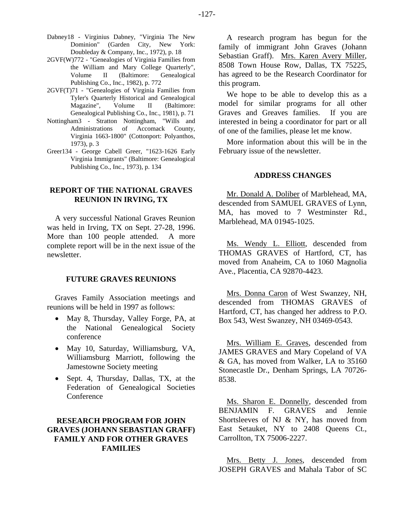- Dabney18 Virginius Dabney, "Virginia The New Dominion" (Garden City, New York: Doubleday & Company, Inc., 1972), p. 18
- 2GVF(W)772 "Genealogies of Virginia Families from the William and Mary College Quarterly", Volume II (Baltimore: Genealogical Publishing Co., Inc., 1982), p. 772
- 2GVF(T)71 "Genealogies of Virginia Families from Tyler's Quarterly Historical and Genealogical Magazine", Volume II (Baltimore: Genealogical Publishing Co., Inc., 1981), p. 71
- Nottingham3 Stratton Nottingham, "Wills and Administrations of Accomack County, Virginia 1663-1800" (Cottonport: Polyanthos, 1973), p. 3
- Greer134 George Cabell Greer, "1623-1626 Early Virginia Immigrants" (Baltimore: Genealogical Publishing Co., Inc., 1973), p. 134

## **REPORT OF THE NATIONAL GRAVES REUNION IN IRVING, TX**

A very successful National Graves Reunion was held in Irving, TX on Sept. 27-28, 1996. More than 100 people attended. A more complete report will be in the next issue of the newsletter.

#### **FUTURE GRAVES REUNIONS**

Graves Family Association meetings and reunions will be held in 1997 as follows:

- May 8, Thursday, Valley Forge, PA, at the National Genealogical Society conference
- May 10, Saturday, Williamsburg, VA, Williamsburg Marriott, following the Jamestowne Society meeting
- Sept. 4, Thursday, Dallas, TX, at the Federation of Genealogical Societies **Conference**

## **RESEARCH PROGRAM FOR JOHN GRAVES (JOHANN SEBASTIAN GRAFF) FAMILY AND FOR OTHER GRAVES FAMILIES**

A research program has begun for the family of immigrant John Graves (Johann Sebastian Graff). Mrs. Karen Avery Miller, 8508 Town House Row, Dallas, TX 75225, has agreed to be the Research Coordinator for this program.

We hope to be able to develop this as a model for similar programs for all other Graves and Greaves families. If you are interested in being a coordinator for part or all of one of the families, please let me know.

More information about this will be in the February issue of the newsletter.

#### **ADDRESS CHANGES**

Mr. Donald A. Doliber of Marblehead, MA, descended from SAMUEL GRAVES of Lynn, MA, has moved to 7 Westminster Rd., Marblehead, MA 01945-1025.

Ms. Wendy L. Elliott, descended from THOMAS GRAVES of Hartford, CT, has moved from Anaheim, CA to 1060 Magnolia Ave., Placentia, CA 92870-4423.

Mrs. Donna Caron of West Swanzey, NH, descended from THOMAS GRAVES of Hartford, CT, has changed her address to P.O. Box 543, West Swanzey, NH 03469-0543.

Mrs. William E. Graves, descended from JAMES GRAVES and Mary Copeland of VA & GA, has moved from Walker, LA to 35160 Stonecastle Dr., Denham Springs, LA 70726- 8538.

Ms. Sharon E. Donnelly, descended from BENJAMIN F. GRAVES and Jennie Shortsleeves of NJ & NY, has moved from East Setauket, NY to 2408 Queens Ct., Carrollton, TX 75006-2227.

Mrs. Betty J. Jones, descended from JOSEPH GRAVES and Mahala Tabor of SC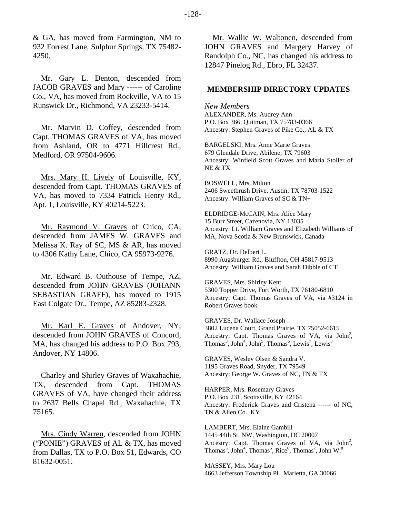& GA, has moved from Farmington, NM to 932 Forrest Lane, Sulphur Springs, TX 75482- 4250.

Mr. Gary L. Denton, descended from JACOB GRAVES and Mary ------ of Caroline Co., VA, has moved from Rockville, VA to 15 Runswick Dr., Richmond, VA 23233-5414.

Mr. Marvin D. Coffey, descended from Capt. THOMAS GRAVES of VA, has moved from Ashland, OR to 4771 Hillcrest Rd., Medford, OR 97504-9606.

Mrs. Mary H. Lively of Louisville, KY, descended from Capt. THOMAS GRAVES of VA, has moved to 7334 Patrick Henry Rd., Apt. 1, Louisville, KY 40214-5223.

Mr. Raymond V. Graves of Chico, CA, descended from JAMES W. GRAVES and Melissa K. Ray of SC, MS & AR, has moved to 4306 Kathy Lane, Chico, CA 95973-9276.

Mr. Edward B. Outhouse of Tempe, AZ, descended from JOHN GRAVES (JOHANN SEBASTIAN GRAFF), has moved to 1915 East Colgate Dr., Tempe, AZ 85283-2328.

Mr. Karl E. Graves of Andover, NY, descended from JOHN GRAVES of Concord, MA, has changed his address to P.O. Box 793, Andover, NY 14806.

Charley and Shirley Graves of Waxahachie, TX, descended from Capt. THOMAS GRAVES of VA, have changed their address to 2637 Bells Chapel Rd., Waxahachie, TX 75165.

Mrs. Cindy Warren, descended from JOHN ("PONIE") GRAVES of AL & TX, has moved from Dallas, TX to P.O. Box 51, Edwards, CO 81632-0051.

Mr. Wallie W. Waltonen, descended from JOHN GRAVES and Margery Harvey of Randolph Co., NC, has changed his address to 12847 Pinelog Rd., Ebro, FL 32437.

#### **MEMBERSHIP DIRECTORY UPDATES**

*New Members*  ALEXANDER, Ms. Audrey Ann P.O. Box 366, Quitman, TX 75783-0366 Ancestry: Stephen Graves of Pike Co., AL & TX

BARGELSKI, Mrs. Anne Marie Graves 679 Glendale Drive, Abilene, TX 79603 Ancestry: Winfield Scott Graves and Maria Stoller of NE & TX

BOSWELL, Mrs. Milton 2406 Sweetbrush Drive, Austin, TX 78703-1522 Ancestry: William Graves of SC & TN+

ELDRIDGE-McCAIN, Mrs. Alice Mary 15 Burr Street, Cazenovia, NY 13035 Ancestry: Lt. William Graves and Elizabeth Williams of MA, Nova Scotia & New Brunswick, Canada

GRATZ, Dr. Delbert L. 8990 Augsburger Rd., Bluffton, OH 45817-9513 Ancestry: William Graves and Sarah Dibble of CT

GRAVES, Mrs. Shirley Kent 5300 Topper Drive, Fort Worth, TX 76180-6810 Ancestry: Capt. Thomas Graves of VA, via #3124 in Robert Graves book

GRAVES, Dr. Wallace Joseph 3802 Lucena Court, Grand Prairie, TX 75052-6615 Ancestry: Capt. Thomas Graves of VA, via  $John<sup>2</sup>$ , Thomas<sup>3</sup>, John<sup>4</sup>, John<sup>5</sup>, Thomas<sup>6</sup>, Lewis<sup>7</sup>, Lewis<sup>8</sup>

GRAVES, Wesley Olsen & Sandra V. 1195 Graves Road, Snyder, TX 79549 Ancestry: George W. Graves of NC, TN & TX

HARPER, Mrs. Rosemary Graves P.O. Box 231, Scottsville, KY 42164 Ancestry: Frederick Graves and Cristena ------ of NC, TN & Allen Co., KY

LAMBERT, Mrs. Elaine Gambill 1445 44th St. NW, Washington, DC 20007 Ancestry: Capt. Thomas Graves of VA, via  $John<sup>2</sup>$ ,  $\text{Thomas}^3$ , John<sup>4</sup>, Thomas<sup>5</sup>, Rice<sup>6</sup>, Thomas<sup>7</sup>, John W.<sup>8</sup>

MASSEY, Mrs. Mary Lou 4663 Jefferson Township Pl., Marietta, GA 30066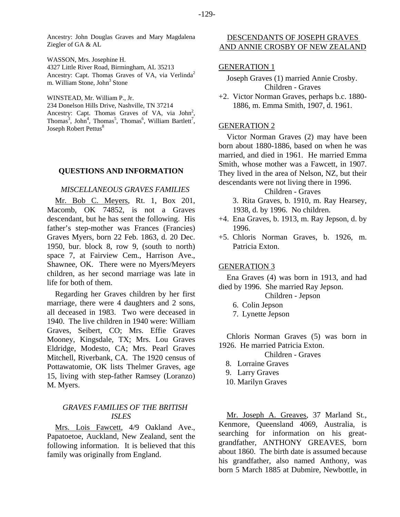Ancestry: John Douglas Graves and Mary Magdalena Ziegler of GA & AL

WASSON, Mrs. Josephine H. 4327 Little River Road, Birmingham, AL 35213 Ancestry: Capt. Thomas Graves of VA, via Verlinda<sup>2</sup> m. William Stone, John<sup>3</sup> Stone

WINSTEAD, Mr. William P., Jr. 234 Donelson Hills Drive, Nashville, TN 37214 Ancestry: Capt. Thomas Graves of VA, via  $John<sup>2</sup>$ , Thomas<sup>3</sup>, John<sup>4</sup>, Thomas<sup>5</sup>, Thomas<sup>6</sup>, William Bartlett<sup>7</sup>, Joseph Robert Pettus<sup>8</sup>

#### **QUESTIONS AND INFORMATION**

#### *MISCELLANEOUS GRAVES FAMILIES*

Mr. Bob C. Meyers, Rt. 1, Box 201, Macomb, OK 74852, is not a Graves descendant, but he has sent the following. His father's step-mother was Frances (Francies) Graves Myers, born 22 Feb. 1863, d. 20 Dec. 1950, bur. block 8, row 9, (south to north) space 7, at Fairview Cem., Harrison Ave., Shawnee, OK. There were no Myers/Meyers children, as her second marriage was late in life for both of them.

Regarding her Graves children by her first marriage, there were 4 daughters and 2 sons, all deceased in 1983. Two were deceased in 1940. The live children in 1940 were: William Graves, Seibert, CO; Mrs. Effie Graves Mooney, Kingsdale, TX; Mrs. Lou Graves Eldridge, Modesto, CA; Mrs. Pearl Graves Mitchell, Riverbank, CA. The 1920 census of Pottawatomie, OK lists Thelmer Graves, age 15, living with step-father Ramsey (Loranzo) M. Myers.

#### *GRAVES FAMILIES OF THE BRITISH ISLES*

Mrs. Lois Fawcett, 4/9 Oakland Ave., Papatoetoe, Auckland, New Zealand, sent the following information. It is believed that this family was originally from England.

### DESCENDANTS OF JOSEPH GRAVES AND ANNIE CROSBY OF NEW ZEALAND

#### GENERATION 1

- Joseph Graves (1) married Annie Crosby. Children - Graves
- +2. Victor Norman Graves, perhaps b.c. 1880- 1886, m. Emma Smith, 1907, d. 1961.

#### GENERATION 2

Victor Norman Graves (2) may have been born about 1880-1886, based on when he was married, and died in 1961. He married Emma Smith, whose mother was a Fawcett, in 1907. They lived in the area of Nelson, NZ, but their descendants were not living there in 1996.

Children - Graves

- 3. Rita Graves, b. 1910, m. Ray Hearsey, 1938, d. by 1996. No children.
- +4. Ena Graves, b. 1913, m. Ray Jepson, d. by 1996.
- +5. Chloris Norman Graves, b. 1926, m. Patricia Exton.

#### GENERATION 3

Ena Graves (4) was born in 1913, and had died by 1996. She married Ray Jepson.

Children - Jepson

- 6. Colin Jepson
- 7. Lynette Jepson

Chloris Norman Graves (5) was born in 1926. He married Patricia Exton.

- Children Graves
- 8. Lorraine Graves
- 9. Larry Graves
- 10. Marilyn Graves

Mr. Joseph A. Greaves, 37 Marland St., Kenmore, Queensland 4069, Australia, is searching for information on his greatgrandfather, ANTHONY GREAVES, born about 1860. The birth date is assumed because his grandfather, also named Anthony, was born 5 March 1885 at Dubmire, Newbottle, in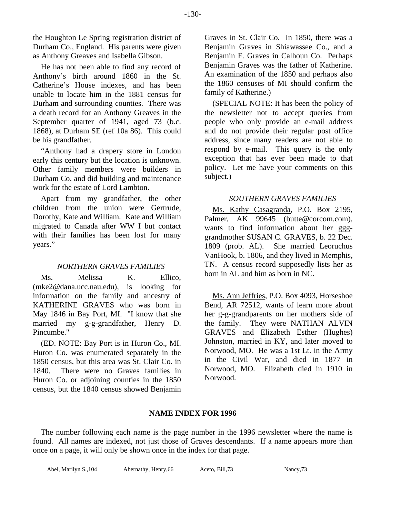-130-

the Houghton Le Spring registration district of Durham Co., England. His parents were given as Anthony Greaves and Isabella Gibson.

He has not been able to find any record of Anthony's birth around 1860 in the St. Catherine's House indexes, and has been unable to locate him in the 1881 census for Durham and surrounding counties. There was a death record for an Anthony Greaves in the September quarter of 1941, aged 73 (b.c. 1868), at Durham SE (ref 10a 86). This could be his grandfather.

"Anthony had a drapery store in London early this century but the location is unknown. Other family members were builders in Durham Co. and did building and maintenance work for the estate of Lord Lambton.

Apart from my grandfather, the other children from the union were Gertrude, Dorothy, Kate and William. Kate and William migrated to Canada after WW I but contact with their families has been lost for many years."

## *NORTHERN GRAVES FAMILIES*

Ms. Melissa K. Ellico, (mke2@dana.ucc.nau.edu), is looking for information on the family and ancestry of KATHERINE GRAVES who was born in May 1846 in Bay Port, MI. "I know that she married my g-g-grandfather, Henry D. Pincumbe."

(ED. NOTE: Bay Port is in Huron Co., MI. Huron Co. was enumerated separately in the 1850 census, but this area was St. Clair Co. in 1840. There were no Graves families in Huron Co. or adjoining counties in the 1850 census, but the 1840 census showed Benjamin

Graves in St. Clair Co. In 1850, there was a Benjamin Graves in Shiawassee Co., and a Benjamin F. Graves in Calhoun Co. Perhaps Benjamin Graves was the father of Katherine. An examination of the 1850 and perhaps also the 1860 censuses of MI should confirm the family of Katherine.)

(SPECIAL NOTE: It has been the policy of the newsletter not to accept queries from people who only provide an e-mail address and do not provide their regular post office address, since many readers are not able to respond by e-mail. This query is the only exception that has ever been made to that policy. Let me have your comments on this subject.)

## *SOUTHERN GRAVES FAMILIES*

Ms. Kathy Casagranda, P.O. Box 2195, Palmer, AK 99645 (butte@corcom.com), wants to find information about her ggggrandmother SUSAN C. GRAVES, b. 22 Dec. 1809 (prob. AL). She married Leoruchus VanHook, b. 1806, and they lived in Memphis, TN. A census record supposedly lists her as born in AL and him as born in NC.

Ms. Ann Jeffries, P.O. Box 4093, Horseshoe Bend, AR 72512, wants of learn more about her g-g-grandparents on her mothers side of the family. They were NATHAN ALVIN GRAVES and Elizabeth Esther (Hughes) Johnston, married in KY, and later moved to Norwood, MO. He was a 1st Lt. in the Army in the Civil War, and died in 1877 in Norwood, MO. Elizabeth died in 1910 in Norwood.

## **NAME INDEX FOR 1996**

The number following each name is the page number in the 1996 newsletter where the name is found. All names are indexed, not just those of Graves descendants. If a name appears more than once on a page, it will only be shown once in the index for that page.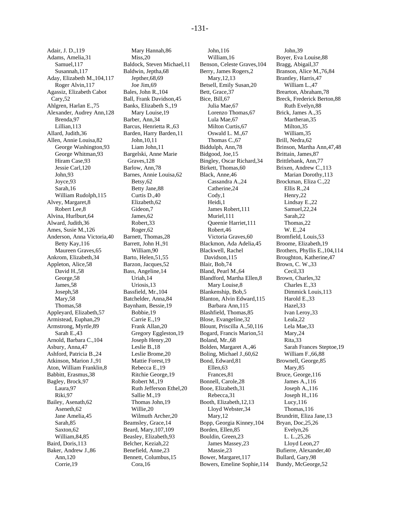Adair, J. D.,119 Adams, Amelia,31 Samuel,117 Susannah,117 Aday, Elizabeth M.,104,117 Roger Alvin,117 Agassiz, Elizabeth Cabot Cary,52 Ahlgren, Harlan E.,75 Alexander, Audrey Ann,128 Brenda,97 Lillian,113 Allard, Judith,36 Allen, Annie Louisa,82 George Washington,93 George Whitman,93 Hiram Case,93 Jessie Carl,120 John,93 Joyce,93 Sarah,16 William Rudolph,115 Alvey, Margaret,8 Robert Lee,8 Alvina, Hurlburt,64 Alward, Judith,36 Ames, Susie M.,126 Anderson, Anna Victoria,40 Betty Kay,116 Maureen Graves,65 Ankrom, Elizabeth,34 Appleton, Alice,58 David H.,58 George,58 James,58 Joseph,58 Mary,58 Thomas,58 Appleyard, Elizabeth,57 Armistead, Euphan,29 Armstrong, Myrtle,89 Sarah E.,43 Arnold, Barbara C.,104 Asbury, Anna,47 Ashford, Patricia B.,24 Atkinson, Marion J.,91 Aton, William Franklin,8 Babbitt, Erasmus,38 Bagley, Brock,97 Laura,97 Riki,97 Bailey, Asenath,62 Aseneth,62 Jane Amelia,45 Sarah,85 Saxton,62 William,84,85 Baird, Doris,113 Baker, Andrew J.,86 Ann,120 Corrie,19

Mary Hannah,86 Miss,20 Baldock, Steven Michael,11 Baldwin, Jeptha,68 Jepther,68,69 Joe Jim,69 Bales, John R.,104 Ball, Frank Davidson,45 Banks, Elizabeth S.,19 Mary Louise,19 Barber, Ann,34 Barcus, Henrietta R.,63 Barden, Harry Barden,11 John,10,11 Liam John,11 Bargelski, Anne Marie Graves,128 Barlow, Ann,78 Barnes, Annie Louisa,62 Betsy,62 Betty Jane,88 Curtis D.,40 Elizabeth,62 Gideon,7 James,62 Robert,33 Roger,62 Barnett, Thomas,28 Barrett, John H.,91 William,90 Barto, Helen,51,55 Barzon, Jacques,52 Bass, Angeline,14 Uriah,14 Uriosis,13 Bassfield, Mr.,104 Batchelder, Anna,84 Baynham, Bessie,19 Bobbie,19 Carrie E.,19 Frank Allan,20 Gregory Eggleston,19 Joseph Henry,20 Leslie B.,18 Leslie Brome,20 Mattie Forest,19 Rebecca E.,19 Ritchie George,19 Robert M.,19 Ruth Jefferson Ethel,20 Sallie M.,19 Thomas John,19 Willie,20 Wilmuth Archer,20 Beamsley, Grace,14 Beard, Mary,107,109 Beasley, Elizabeth,93 Belcher, Keziah,22 Benefield, Anne,23 Bennett, Columbus,15 Cora,16

John,116 William,16 Benson, Celeste Graves,104 Berry, James Rogers,2 Mary,12,13 Betsell, Emily Susan,20 Bett, Grace,37 Bice, Bill,67 Julia Mae,67 Lorenzo Thomas,67 Lula Mae,67 Milton Curtis, 67 Oswald L. M.,67 Thomas C.,67 Biddulph, Ann,78 Bidgood, Joe,15 Bingley, Oscar Richard,34 Birkett, Thomas,60 Black, Anne,46 Cassandra A.,24 Catherine,24 Cody,1 Heidi,1 James Robert,111 Muriel,111 Queenie Harriet,111 Robert,46 Victoria Graves,60 Blackmon, Ada Adelia,45 Blackwell, Rachel Davidson,115 Blair, Bob,74 Bland, Pearl M.,64 Blandford, Martha Ellen,8 Mary Louise,8 Blankenship, Bob,5 Blanton, Alvin Edward,115 Barbara Ann,115 Blashfield, Thomas,85 Blose, Evangeline,32 Blount, Priscilla A.,50,116 Bogard, Francis Marion,51 Boland, Mr.,68 Bolden, Margaret A.,46 Boling, Michael J.,60,62 Bond, Edward,81 Ellen,63 Frances,81 Bonnell, Carole,28 Booe, Elizabeth,31 Rebecca,31 Booth, Elizabeth,12,13 Lloyd Webster,34 Mary,12 Bopp, Georgia Kinney,104 Borden, Ellen,85 Bouldin, Green,23 James Massey,23 Massie,23 Bower, Margaret,117 Bowers, Emeline Sophie,114

John,39 Boyer, Eva Louise,88 Bragg, Abigail,37 Branson, Alice M.,76,84 Brantley, Harris,47 William L.,47 Brearton, Abraham,78 Breck, Frederick Berton,88 Ruth Evelyn,88 Brick, James A.,35 Martheran,35 Milton,35 William,35 Brill, Nedra,62 Brinson, Martha Ann,47,48 Brittain, James,87 Brittlebank, Ann,77 Brixen, Andrew C.,113 Marian Dorothy,113 Brockman, Eliza C.,22 Ellis R.,24 Henry,22 Lindsay E.,22 Samuel,22,24 Sarah,22 Thomas,22 W. E.,24 Bromfield, Louis,53 Broome, Elizabeth,19 Brothers, Phyllis E.,104,114 Broughton, Katherine,47 Brown, C. W.,33 Cecil,33 Brown, Charles,32 Charles E.,33 Dimmick Louis,113 Harold E.,33 Hazel,33 Ivan Leroy,33 Leala,22 Lela Mae,33 Mary,24 Rita,33 Sarah Frances Steptoe,19 William F.,66,88 Brownell, George,85 Mary,85 Bruce, George,116 James A.,116 Joseph A.,116 Joseph H.,116 Lucy,116 Thomas,116 Brundritt, Eliza Jane,13 Bryan, Doc,25,26 Evelyn,26 L. L.,25,26 Lloyd Leon,27 Bufierre, Alexander,40 Bullard, Gary,98 Bundy, McGeorge,52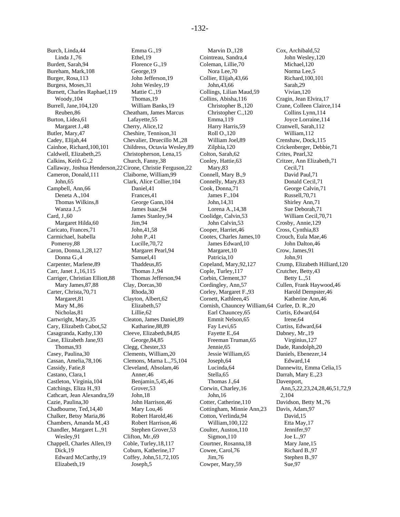Burch, Linda,44 Linda J.,76 Burdett, Sarah,94 Bureham, Mark,108 Burger, Rosa,113 Burgess, Moses,31 Burnett, Charles Raphael,119 Woody,104 Burrell, Jane,104,120 Reuben,86 Burton, Lidea,61 Margaret J.,48 Butler, Mary,47 Cadey, Elijah,44 Cainhoe, Richard,100,101 Caldwell, Elizabeth,25 Calkins, Keith G.,2 Callaway, Joshua Henderson,22 Cirone, Christie Ferguson,22 Cameron, Donald,111 John,65 Campbell, Ann,66 Deneta A.,104 Thomas Wilkins,8 Wanza J.,5 Card, J.,60 Margaret Hilda,60 Caricato, Frances,71 Carmichael, Isabella Pomeroy,88 Caron, Donna,1,28,127 Donna G.,4 Carpenter, Marlene,89 Carr, Janet J.,16,115 Carriger, Christian Elliott,88 Mary James,87,88 Carter, Christa,70,71 Margaret,81 Mary M.,86 Nicholas,81 Cartwright, Mary,35 Cary, Elizabeth Cabot,52 Casagranda, Kathy,130 Case, Elizabeth Jane,93 Thomas<sub>93</sub> Casey, Paulina,30 Cassan, Amelia,78,106 Cassidy, Fatie,8 Castano, Clara,1 Castleton, Virginia,104 Catchings, Eliza H.,93 Cathcart, Jean Alexandra,59 Cazie, Paulina,30 Chadbourne, Ted,14,40 Chalker, Betsy Maria,86 Chambers, Amanda M.,43 Chandler, Margaret L.,91 Wesley,91 Chappell, Charles Allen,19 Dick,19 Edward McCarthy,19 Elizabeth,19

Emma G.,19 Ethel,19 Florence G.,19 George,19 John Jefferson,19 John Wesley,19 Mattie C., 19 Thomas,19 William Banks,19 Cheatham, James Marcus Lafayette,55 Cherry, Alice,12 Cheshire, Tennison,31 Chevalier, Druecillo M.,28 Childress, Octavia Wesley,89 Christopherson, Lena,15 Church, Fanny,38 Claiborne, William,99 Clark, Alice Collier,104 Daniel,41 Frances,41 George Gann,104 James Isaac,94 James Stanley,94 Jim,94 John,41,58 John P.,41 Lucille,70,72 Margaret Pearl,94 Samuel,41 Thaddeus,85 Thomas J.,94 Thomas Jefferson,94 Clay, Dorcas,30 Rhoda,30 Clayton, Albert,62 Elizabeth,57 Lillie,62 Cleaton, James Daniel,89 Katharine,88,89 Cleeve, Elizabeth,84,85 George,84,85 Clegg, Chester,33 Clements, William,20 Clemons, Marna L.,75,104 Cleveland, Absolam,46 Anner,46 Benjamin,5,45,46 Grover,53 John,18 John Harrison,46 Mary Lou,46 Robert Harold,46 Robert Harrison,46 Stephen Grover,53 Clifton, Mr.,69 Coble, Turley,18,117 Coburn, Katherine,17 Coffey, John,51,72,105 Joseph,5

Marvin D.,128 Cointreau, Sandra,4 Coleman, Lillie,70 Nora Lee,70 Collier, Elijah,43,66 John,43,66 Collings, Lilian Maud,59 Collins, Abisha,116 Christopher B.,120 Christopher C.,120 Emma,119 Harry Harris,59 Roll O.,120 William Joel,89 Zilphia,120 Colton, Sarah,62 Conley, Hattie,63 Mary,83 Connell, Mary B.,9 Connelly, Mary,83 Cook, Donna,71 James F.,104 John,14,31 Lorena A.,14,38 Coolidge, Calvin,53 John Calvin,53 Cooper, Harriet,46 Cootes, Charles James,10 James Edward,10 Margaret,10 Patricia,10 Copeland, Mary,92,127 Cople, Turley,117 Corbin, Clement,37 Cordingley, Ann,57 Corley, Margaret F.,93 Cornett, Kathleen,45 Cornish, Chauncey William,64 Curlee, D. R.,20 Earl Chauncey,65 Emmit Nelson,65 Fay Levi,65 Fayette E.,64 Freeman Truman,65 Jennie,65 Jessie William,65 Joseph,64 Lucinda,64 Stella,65 Thomas J.,64 Corwin, Charley,16 John,16 Cotter, Catherine,110 Cottingham, Minnie Ann,23 Cotton, Verlinda,94 William,100,122 Coulter, Auston,110 Sigmon,110 Courtner, Rosanna,18 Cowee, Carol,76 Jim,76 Cowper, Mary,59

Cox, Archibald,52 John Wesley,120 Michael,120 Norma Lee,5 Richard,100,101 Sarah,29 Vivian,120 Cragin, Jean Elvira,17 Crane, Colleen Clairce,114 Collins Lynn,114 Joyce Lorraine,114 Cranwell, Sarah,112 William,112 Crenshaw, Dock,115 Crickenberger, Debbie,71 Crites, Pearl,32 Critzer, Ann Elizabeth,71 Cecil,71 David Paul,71 Donald Cecil,71 George Calvin,71 Russell,70,71 Shirley Ann,71 Sue Deborah,71 William Cecil,70,71 Crosby, Annie,129 Cross, Cynthia,83 Crouch, Eula Mae,46 John Dalton,46 Crow, James,91 John,91 Crump, Elizabeth Hilliard,120 Crutcher, Betty,43 Betty L.,51 Cullen, Frank Haywood,46 Harold Dempster,46 Katherine Ann,46 Curtis, Edward,64 Irene,64 Curtiss, Edward,64 Dabney, Mr.,19 Virginius,127 Dade, Randolph,20 Daniels, Ebenezer,14 Edward,14 Dannewitz, Emma Celia,15 Darrah, Mary E.,23 Davenport, Ann,5,22,23,24,28,46,51,72,9 2,104 Davidson, Betty M.,76 Davis, Adam,97 David,15 Etta May,17 Jennifer,97 Joe L.,97 Mary Jane,15 Richard B.,97 Stephen B.,97 Sue,97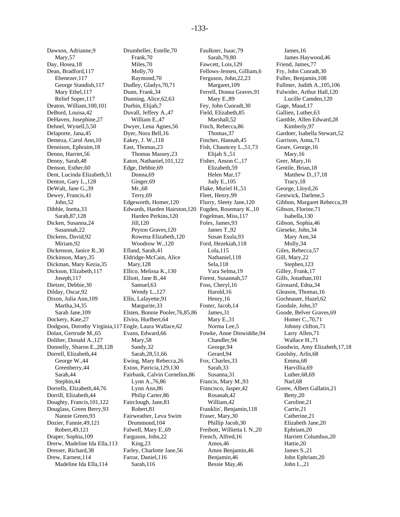Dawson, Adrianne,9 Mary,57 Day, Hosea,18 Dean, Bradford,117 Ebenezer,117 George Standish,117 Mary Ethel,117 Relief Soper,117 Deaton, William,100,101 DeBord, Louisa,42 DeHaven, Josephine,27 Dehnel, Wynell,5,50 Delaporte, Jana,45 Demeza, Carol Ann,10 Dennison, Ephraim,18 Denno, Harriet,56 Denny, Sarah,48 Denson, Esther,60 Dent, Lucinda Elizabeth,51 Denton, Gary L.,128 DeWalt, Jane G.,39 Dewey, Francis,41 John,52 Dibble, Inetta,33 Sarah,87,128 Dicken, Susanna,24 Susannah,22 Dickens, David,92 Miriam,92 Dickenson, Janice R.,30 Dickinson, Mary,35 Dickman, Mary Kezia,35 Dickson, Elizabeth,117 Joseph,117 Dietzer, Debbie,30 Dilday, Oscar,92 Dixon, Julia Ann,109 Martha,34,35 Sarah Jane,109 Dockery, Kate,27 Dodgson, Dorothy Virginia,117 Engle, Laura Wallace,62 Dolan, Gertrude M.,65 Doliber, Donald A.,127 Donnelly, Sharon E.,28,128 Dorrell, Elizabeth,44 George W.,44 Greenberry,44 Sarah,44 Stephin,44 Dorrells, Elizabeth,44,76 Dorrill, Elizabeth,44 Doughty, Francis,101,122 Douglass, Green Berry,93 Nannie Green,93 Dozier, Fannie,49,121 Robert,49,121 Draper, Sophia,109 Drerw, Madeline Ida Ella,113 Dresser, Richard,38 Drew, Earnest,114 Madeline Ida Ella,114

Drumheller, Estelle,70 Frank,70 Miles,70 Molly,70 Raymond,70 Dudley, Gladys,70,71 Dunn, Frank,34 Dunning, Alice,62,63 Durbin, Elijah,7 Duvall, Jeffery A.,47 William E.,47 Dwyer, Lena Agnes,56 Dyer, Nora Bell,16 Eakey, J. W.,118 East, Thomas,23 Thomas Massey,23 Eaton, Nathaniel,101,122 Edge, Debbie,69 Donna,69 Ginger,69 Mr.,68 Terry,69 Edgeworth, Homer,120 Edwards, Harden Hairston,120 Fogden, Rosemary K.,10 Harden Perkins,120 Jill,120 Peyton Graves,120 Rowena Elizabeth,120 Woodrow W.,120 Efland, Sarah,41 Eldridge-McCain, Alice Mary,128 Ellico, Melissa K.,130 Elliott, Jane B.,44 Samuel,63 Wendy L.,127 Ellis, Lafayette,91 Margurite,33 Elsten, Bonnie Pooler,76,85,86 Elvira, Hurlbert,64 Evans, Edward,66 Mary,58 Sandy,32 Sarah,28,51,66 Ewing, Mary Rebecca,26 Exton, Patricia,129,130 Fairbank, Calvin Cornelius,86 Lynn A.,76,86 Lynn Ann,86 Philip Carter,86 Fairclough, Jane,81 Robert,81 Fairweather, Leva Swim Drummond,104 Falwell, Mary E.,69 Farguson, John,22 King,23 Farley, Charlotte Jane,56 Farrar, Daniel,116 Sarah,116

Faulkner, Isaac,79 Sarah,79,80 Fawcett, Lois,129 Fellows-Jensen, Gilliam,6 Ferguson, John,22,23 Margaret,109 Ferrell, Donna Graves,91 Mary E.,89 Fey, John Cunradt,30 Field, Elizabeth,85 Marshall,52 Finch, Rebecca,86 Thomas,37 Fincher, Hannah,45 Fish, Chauncey L.,51,73 Elijah S.,51 Fisher, Anson C.,17 Elizabeth,59 Helen Mar,17 Judy E.,105 Flake, Muriel H.,51 Fleet, Henry,99 Flurry, Sleety Jane,120 Fogelman, Miss,117 Foles, James,93 James T.,92 Susan Esula,93 Ford, Hezekiah,118 Lola,115 Nathaniel,118 Sela,118 Vara Selma,19 Forest, Susannah,57 Foss, Cheryl,16 Harold,16 Henry,16 Foster, Jacob,14 James,31 Mary E.,31 Norma Lee,5 Fowke, Anne Dinwiddie,94 Chandler,94 George,94 Gerard,94 Fox, Charles,33 Sarah,33 Susanna,31 Francis, Mary M.,93 Francisco, Jasper,42 Rosanah,42 William,42 Franklin', Benjamin,118 Fraser, Mary,30 Phillip Jacob,30 Freibott, Willietta I. N.,20 French, Alfred,16 Amos,46 Amos Benjamin,46 Benjamin,46 Bessie May,46

James,16 James Haywood,46 Friend, James,77 Fry, John Cunradt,30 Fuller, Benjamin,108 Fullmer, Judith A.,105,106 Fulwider, Arthur Hall,120 Lucille Camden,120 Gage, Maud,17 Gallien, Luther,63 Gamble, Allen Edward,28 Kimberly,97 Gardner, Isabella Stewart,52 Garrison, Anna,71 Geare, George,16 Mary,16 Geer, Mary,16 Gentile, Brian,18 Matthew D.,17,18 Tracy,18 George, Lloyd,26 Gestwick, Darlene,5 Gibbon, Margaret Rebecca,39 Gibson, Florine,71 Isabella,130 Gibson, Sophia,46 Gieseke, John,34 Mary Ann,34 Molly,34 Giles, Rebecca,57 Gill, Mary,22 Stephen,123 Gilley, Frank,17 Gills, Jonathan,101 Girouard, Edna,34 Gleason, Thomas,16 Gochnauer, Hazel,62 Goodale, John,37 Goode, Belver Graves,69 Homer C.,70,71 Johnny clifton,71 Larry Allen,71 Wallace H.,71 Goodwin, Amy Elizabeth,17,18 Goolsby, Arlis,68 Emma,68 Harvillia,69 Luther,68,69 Narl,68 Goree, Albert Gallatin,21 Betty,20 Caroline,21 Carrie,21 Catherine,21 Elizabeth Jane,20 Ephriam,20 Harriett Columbus,20 Hattie,20 James S.,21 John Ephriam,20 John L.,21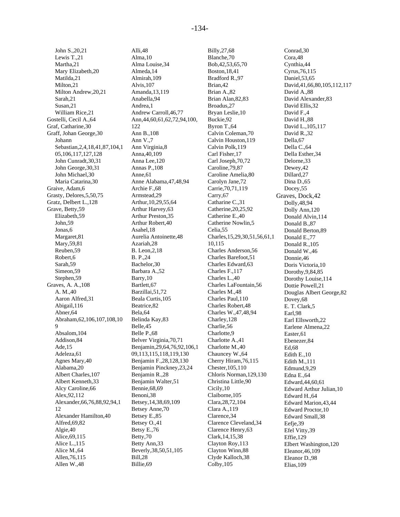John S.,20,21 Lewis T.,21 Martha,21 Mary Elizabeth,20 Matilda,21 Milton,21 Milton Andrew,20,21 Sarah,21 Susan,21 William Rice,21 Gostelli, Cecil A.,64 Graf, Catharine,30 Graff, Johan George,30 Johann Sebastian,2,4,18,41,87,104,1 05,106,117,127,128 John Cunradt,30,31 John George,30,31 John Michael,30 Maria Catarina,30 Graive, Adam,6 Grasty, Delores,5,50,75 Gratz, Delbert L.,128 Grave, Betty,59 Elizabeth,59 John,59 Jonas,6 Margaret,81 Mary,59,81 Reuben,59 Robert,6 Sarah,59 Simeon,59 Stephen,59 Graves, A. A.,108 A. M.,40 Aaron Alfred,31 Abigail,116 Abner,64 Abraham,62,106,107,108,10  $\overline{Q}$ Absalom,104 Addison,84 Ade,15 Adeleza,61 Agnes Mary,40 Alabama,20 Albert Charles,107 Albert Kenneth,33 Alcy Caroline,66 Alex,92,112 Alexander,66,76,88,92,94,1  $12$ Alexander Hamilton,40 Alfred,69,82 Algie,40 Alice,69,115 Alice L.,115 Alice M.,64 Allen,76,115 Allen W.,48

Alli,48 Alma,10 Alma Louise,34 Almeda,14 Almirah,109 Alvis,107 Amanda,13,119 Anabella,94 Andrea,1 Andrew Carroll,46,77 Ann,44,60,61,62,72,94,100, 122 Ann B.,108 Ann V.,7 Ann Virginia,8 Anna,40,109 Anna Lee,120 Annas P.,108 Anne 61 Anne Alabama,47,48,94 Archie F.,68 Armstead,29 Arthur,10,29,55,64 Arthur Harvey,63 Arthur Preston,35 Arthur Robert,40 Asahel,18 Aurelia Antoinette,48 Azariah,28 B. Leon,2,18 B. P.,24 Bachelor,30 Barbara A.,52 Barry,10 Bartlett,67 Barzillai,51,72 Beala Curtis,105 Beatrice,82 Bela,64 Belinda Kay,83 Belle,45 Belle P.,68 Belver Virginia,70,71 Benjamin,29,64,76,92,106,1 09,113,115,118,119,130 Benjamin F.,28,128,130 Benjamin Pinckney,23,24 Benjamin R.,28 Benjamin Walter,51 Bennie,68,69 Benoni,38 Betsey,14,38,69,109 Betsey Anne,70 Betsey E.,85 Betsey O.,41 Betsy E.,76 Betty,70 Betty Ann,33 Beverly,38,50,51,105 Bill,28 Billie,69

Billy,27,68 Blanche,70 Bob,42,53,65,70 Boston,18,41 Bradford R.,97 Brian,42 Brian A.,82 Brian Alan,82,83 Broadus,27 Bryan Leslie,10 Buckie,92 Byron T.,64 Calvin Coleman,70 Calvin Houston,119 Calvin Polk,119 Carl Fisher,17 Carl Joseph,70,72 Caroline,79,87 Caroline Amelia,80 Carolyn Jane,72 Carrie,70,71,119 Carry,67 Catharine C.,31 Catherine,20,25,92 Catherine E.,40 Catherine Nowlin,5 Celia,55 Charles,15,29,30,51,56,61,1 10,115 Charles Anderson,56 Charles Barefoot,51 Charles Edward,63 Charles F.,117 Charles L.,40 Charles LaFountain,56 Charles M.,48 Charles Paul,110 Charles Robert,48 Charles W.,47,48,94 Charley,128 Charlie,56 Charlotte.9 Charlotte A.,41 Charlotte M.,40 Chauncey W.,64 Cherry Hiram,76,115 Chester,105,110 Chloris Norman,129,130 Christina Little,90 Cicily,10 Claiborne,105 Clara,28,72,104 Clara A.,119 Clarence,34 Clarence Cleveland,34 Clarence Henry,63 Clark,14,15,38 Clayton Roy,113 Clayton Winn,88 Clyde Kalloch,38 Colby,105

Conrad,30 Cora,48 Cynthia,44 Cyrus,76,115 Daniel,53,65 David,41,66,80,105,112,117 David A.,88 David Alexander,83 David Ellis,32 David F.,4 David H.,88 David L.,105,117 David R.,32 Della,67 Della C.,64 Della Esther,34 Delorne,33 Dewey,42 Dillard,27 Dina D.,65 Docey,55 Graves, Dock,42 Dolly,48,94 Dolly Ann,120 Donald Alvin,114 Donald B.,87 Donald Berton,89 Donald E.,77 Donald R.,105 Donald W.,46 Donnie,46 Doris Victoria,10 Dorothy,9,84,85 Dorothy Louise,114 Dottie Powell,21 Douglas Albert George,82 Dovey,68 E. T. Clark,5 Earl,98 Earl Ellsworth,22 Earlene Almena,22 Easter,61 Ebenezer,84 Ed,68 Edith E.,10 Edith M.,111 Edmund,9,29 Edna E.,64 Edward,44,60,61 Edward Arthur Julian,10 Edward H.,64 Edward Marion,43,44 Edward Proctor,10 Edward Small,38 Eefje,39 Efel Vitty,39 Effie,129 Elbert Washington,120 Eleanor,46,109 Eleanor D.,98 Elias,109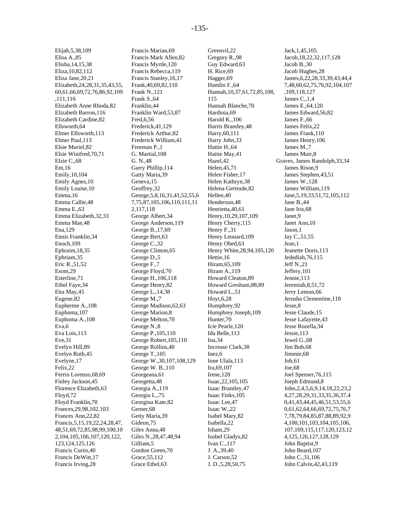Elijah,5,38,109 Elisa A.,85 Elisha,14,15,38 Eliza,10,82,112 Eliza Jane,20,21 Elizabeth,24,28,31,35,43,55, 60,61,66,69,72,76,86,92,109 ,111,116 Elizabeth Anne Rhoda,82 Elizabeth Barron,116 Elizabeth Cardine,82 Ellsworth,64 Elmer Ellsworth,113 Elmer Paul,113 Elsie Muriel,82 Elsie Winifred,70,71 Elzie C.,68 Em,16 Emily,10,104 Emily Agnes,10 Emily Louise,10 Emma,16 Emma Callie,48 Emma E.,63 Emma Elizabeth,32,33 Emma Mae,48 Ena,129 Ennis Franklin,34 Enoch,109 Ephraim,18,35 Ephriam,35 Eric R.,51,52 Esom,29 Esterline,71 Ethel Faye,34 Etta May,45 Eugene,82 Eupherme A.,108 Euphoma,107 Euphoma A.,108 Eva,6 Eva Lois,113 Eve,31 Evelyn Hill,89 Evelyn Ruth,45 Evelyne,17 Felix,22 Ferrin Lorenzo,68,69 Finley Jackson,45 Florence Elizabeth,63 Floyd,72 Floyd Franklin,70 Frances,29,98,102,103 Frances Ann,22,82 Francis,5,15,19,22,24,28,47, 48,51,69,72,85,98,99,100,10 2,104,105,106,107,120,122, 123,124,125,126 Francis Curtis,40 Francis DeWitt,17

Francis Irving,28

Francis Marian,69 Francis Mark Allen,82 Francis Myrtle,120 Francis Rebecca,119 Francis Stanley,16,17 Frank,40,69,82,110 Frank N.,121 Frank S.,64 Franklin,44 Franklin Ward,53,87 Fred,6,56 Frederick,41,129 Frederick Arthur,82 Frederick William,41 Freeman P.,1 G. Martial,108 G. N.,48 Garry Phillip,114 Gatty Maria,39 Geneva,15 Geoffrey,32 George,5,8,16,31,41,52,55,6 7,75,87,105,106,110,111,11 2,117,118 George Albert,34 George Anderson,119 George B.,17,69 George Bert,63 George C.,32 George Clinton,65 George D.,5 George F.,7 George Floyd,70 George H.,106,118 George Henry,82 George L.,14,38 George M.,7 George Madison,62,63 George Marion,8 George Melton,70 George N.,8 George P.,105,110 George Robert,105,110 George Rollins,40 George T.,105 George W.,30,107,108,129 George W. B.,110 Georgeana,61 Georgetta,48 Georgia A.,119 Georgia L.,75 Georgina Kate,82 Gerner,68 Getty Maria,39 Gideon,75 Giles Anna,48 Giles N.,28,47,48,94 Gilliam,5 Gordon Green,70 Grace,55,112 Grace Ethel,63

Greenvil,22 Gregory R.,98 Guy Edward,63 H. Rice,69 Hagger,69 Hamlin F.,64 Hannah,10,37,61,72,85,108, 115 Hannah Blanche,70 Hardinia,69 Harold K.,106 Harris Brantley,48 Harry,60,111 Harry John,33 Hattie H.,64 Hattie May,41 Hazel,42 Helen,45,71 Helen Fisher,17 Helen Kathryn,38 Helena Gertrude,82 Hellen,40 Henderson,48 Henrietta,40,61 Henry,10,29,107,109 Henry Cherry,115 Henry F.,31 Henry Leonard,109 Henry Obed,63 Henry White,28,94,105,120 Hettie,16 Hiram,65,109 Hiram A.,119 Howard Cleaton,89 Howard Gresham,88,89 Howard L.,51 Hoyt,6,28 Humphrey,92 Humphrey Joseph,109 Hunter,70 Icie Pearle,120 Ida Belle,113 Ina,34 Increase Clark,38 Inez,6 Ione Ulala,113 Ira,69,107 Irene,120 Isaac,22,105,105 Isaac Brantley,47 Isaac Finks,105 Isaac Lee,47 Isaac W.,22 Isabel Mary,82 Isabella,22 Isham,29 Isobel Gladys,82 Ivan C.,117 J. A.,39,40 J. Carson,52 J. D.,5,28,50,75

Jack,1,45,105 Jacob,18,22,32,117,128 Jacob B.,30 Jacob Hughes,28 James,6,22,28,33,39,43,44,4 7,48,60,62,75,76,92,104,107 ,109,118,127 James C.,1,4 James E.,64,120 James Edward,56,82 James F.,66 James Felix,22 James Frank,110 James Henry,106 James M.,7 James Muir,8 Graves, James Randolph,33,34 James Rison,9 James Stephen,43,51 James W.,128 James William,119 Jane,5,19,33,51,72,105,112 Jane B.,44 Jane Iris,68 Janet,9 Janet Ann,10 Jason,1 Jay C.,51,55 Jean,1 Jeanette Doris,113 Jedediah,76,115 Jeff N.,21 Jeffery,101 Jennie,113 Jeremiah,8,51,72 Jerry Lemon,66 Jerusha Clementine,118 Jesse,8 Jesse Claude,15 Jesse Lafayette,43 Jesse Rozella,34 Jessie,113 Jewel G.,68 Jim Bob,68 Jimmie,68 Job,61 Joe,68 Joel Spenser,76,115 Joeph Edmund,8 John,2,4,5,6,9,14,18,22,23,2 4,27,28,29,31,33,35,36,37,4 0,41,43,44,45,46,51,53,55,6 0,61,62,64,66,69,72,75,76,7 7,78,79,84,85,87,88,89,92,9 4,100,101,103,104,105,106, 107,109,115,117,120,123,12 4,125,126,127,128,129 John Baptist,9 John Beard,107 John C.,31,106 John Calvin,42,43,119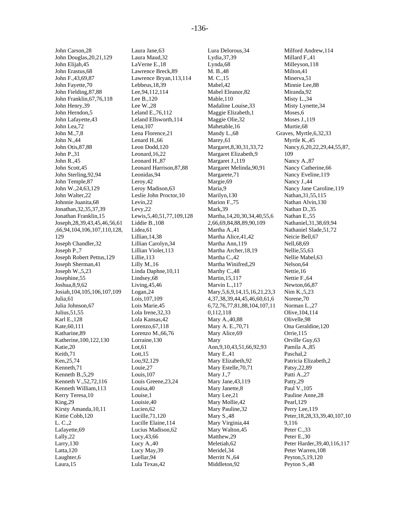John Carson,28 John Douglas,20,21,129 John Elijah,45 John Erastus,68 John F.,43,69,87 John Fayette,70 John Fielding,87,88 John Franklin,67,76,118 John Henry,39 John Herndon,5 John Lafayette,43 John Lea,72 John M.,7,8 John N.,44 John Otis,87,88 John P.,31 John R.,45 John Scott,45 John Sterling,92,94 John Temple,87 John W.,24,63,129 John Walter,22 Johnnie Juanita,68 Jonathan,32,35,37,39 Jonathan Franklin,15 Joseph,28,39,43,45,46,56,61 ,66,94,104,106,107,110,128, 129 Joseph Chandler,32 Joseph P.,7 Joseph Robert Pettus,129 Joseph Sherman,41 Joseph W.,5,23 Josephine,55 Joshua,8,9,62 Josiah,104,105,106,107,109 Julia,61 Julia Johnson,67 Julius,51,55 Karl E.,128 Kate,60,111 Katharine,89 Katherine,100,122,130 Katie,20 Keith,71 Ken,25,74 Kenneth,71 Kenneth B.,5,29 Kenneth V.,52,72,116 Kenneth William,113 Kerry Teresa,10 King,29 Kirsty Amanda,10,11 Kittie Cobb,120 L. C.,2 Lafayette,69 Lally,22 Larry,130 Latta,120

Laughter,6 Laura,15

Laura Jane,63 Laura Maud,32 LaVerne E.,18 Lawrence Breck,89 Lawrence Bryan,113,114 Lebbeus,18,39 Lee,94,112,114 Lee B.,120 Lee W.,28 Leland E.,76,112 Leland Ellsworth,114 Lena,107 Lena Florence,21 Lenard H.,66 Leon Dodd,120 Leonard,16,22 Leonard H.,87 Leonard Harrison,87,88 Leonidas,94 Leroy,42 Leroy Madison,63 Leslie John Proctor,10 Levin,22 Levy,22 Lewis,5,40,51,77,109,128 Liddie B.,108 Lidea,61 Lillian,14,38 Lillian Carolyn,34 Lillian Violet,113 Lillie,113 Lilly M.,16 Linda Daphne,10,11 Lindsey,68 Living,45,46 Logan,24 Lois,107,109 Lois Marie,45 Lola Irene,32,33 Lola Kansas,42 Lorenzo,67,118 Lorenzo M.,66,76 Lorraine,130 Lot,61 Lott,15 Lou,92,129 Louie,27 Louis,107 Louis Greene,23,24 Louisa,40 Louise,1 Louisie,40 Lucien,62 Lucille,71,120 Lucille Elaine,114 Lucius Madison,62 Lucy,43,66 Lucy A.,40 Lucy May,39 Luellar,94 Lula Texas,42

Lura Delorous,34 Lydia,37,39 Lynda,68 M. B.,48 M. C.,15 Mabel,42 Mabel Eleanor,82 Mable,110 Madaline Louise,33 Maggie Elizabeth,1 Maggie Olie,32 Mahetable,16 Mandy L.,68 Marey,61 Margaret,8,30,31,33,72 Margaret Elizabeth,9 Margaret J.,119 Margaret Melinda,90,91 Margarete,71 Margie,69 Maria,9 Marilyn,130 Marion F.,75 Mark,39 Martha,14,20,30,34,40,55,6 2,66,69,84,88,89,90,109 Martha A.,41 Martha Alice,41,42 Martha Ann,119 Martha Archer,18,19 Martha C.,42 Martha Winifred,29 Marthy C.,48 Martin,15,117 Marvin L.,117 Mary,5,6,9,14,15,16,21,23,3 4,37,38,39,44,45,46,60,61,6 6,72,76,77,81,88,104,107,11 0,112,118 Mary A.,40,88 Mary A. E.,70,71 Mary Alice,69 Mary Ann,9,10,43,51,66,92,93 Mary E.,41 Mary Elizabeth,92 Mary Estelle,70,71 Mary J.,7 Mary Jane,43,119 Mary Janette,8 Mary Lee,21 Mary Mollie,42 Mary Pauline,32 Mary S.,48 Mary Virginia,44 Mary Walton,45 Matthew,29 Meletiah,62 Meridel,34 Merritt N.,64 Middleton,92

Milford Andrew,114 Millard F.,41 Milleyson,118 Milton,41 Minerva,51 Minnie Lee,88 Miranda,92 Misty L.,34 Misty Lynette,34 Moses,6 Moses J.,119 Murtie,68 Graves, Myrtle,6,32,33 Myrtle K.,45 Nancy,6,20,22,29,44,55,87, 109 Nancy A.,87 Nancy Catherine,66 Nancy Eveline,119 Nancy J.,44 Nancy Jane Caroline,119 Nathan,31,55,115 Nathan Alvin,130 Nathan D.,35 Nathan E.,55 Nathaniel,31,38,69,94 Nathaniel Slade,51,72 Neicie Bell,67 Nell,68,69 Nellie,55,63 Nellie Mabel,63 Nelson,64 Nettie,16 Nettie F.,64 Newton,66,87 Nim K.,5,23 Norene,70 Norman L.,27 Olive,104,114 Olivelle,98 Ona Geraldine,120 Orrie,115 Orville Guy,63 Pamila A.,85 Paschal,2 Patricia Elizabeth,2 Patsy,22,89 Patti A.,27 Patty,29 Paul V.,105 Pauline Anne,28 Pearl,129 Perry Lee,119 Peter,18,28,33,39,40,107,10 9,116 Peter C.,33 Peter E.,30 Peter Harder,39,40,116,117 Peter Warren,108 Peyton,5,19,120

Peyton S.,48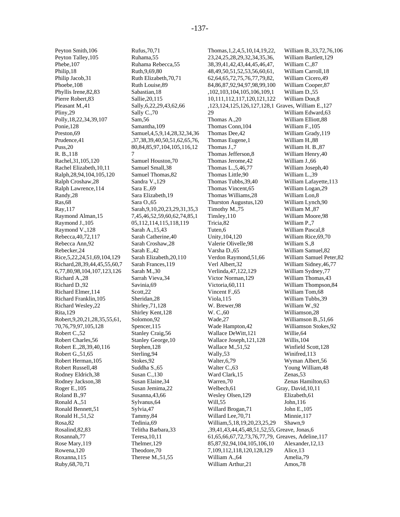Peyton Smith,106 Peyton Talley,105 Phebe,107 Philip,18 Philip Jacob,31 Phoebe,108 Phyllis Irene,82,83 Pierre Robert,83 Pleasant M.,41 Pliny,29 Polly,18,22,34,39,107 Ponie,128 Preston,69 Prudence,41 Puss,20 R. B.,118 Rachel,31,105,120 Rachel Elizabeth,10,11 Ralph,28,94,104,105,120 Ralph Croshaw,28 Ralph Lawrence,114 Randy,28 Ras,68 Ray,117 Raymond Alman,15 Raymond J.,105 Raymond V.,128 Rebecca,40,72,117 Rebecca Ann,92 Rebecker,24 Rice,5,22,24,51,69,104,129 Richard,28,39,44,45,55,60,7 6,77,80,98,104,107,123,126 Richard A.,28 Richard D.,92 Richard Elmer,114 Richard Franklin,105 Richard Wesley,22 Rita,129 Robert,9,20,21,28,35,55,61, 70,76,79,97,105,128 Robert C.,52 Robert Charles,56 Robert E.,28,39,40,116 Robert G.,51,65 Robert Herman,105 Robert Russell,48 Rodney Eldrich,38 Rodney Jackson,38 Roger E.,105 Roland B.,97 Ronald A.,51 Ronald Bennett,51 Ronald H.,51,52 Rosa,82 Rosalind,82,83 Rosannah,77 Rose Mary,119 Rowena,120 Roxanna,115 Ruby,68,70,71

Rufus,70,71 Ruhama,55 Ruhama Rebecca,55 Ruth,9,69,80 Ruth Elizabeth,70,71 Ruth Louise,89 Sabastian, 18 Sallie,20,115 Sally,6,22,29,43,62,66 Sally C.,70 Sam,56 Samantha,109 Samuel,4,5,9,14,28,32,34,36 ,37,38,39,40,50,51,62,65,76, 80,84,85,97,104,105,116,12 7 Samuel Houston,70 Samuel Small,38 Samuel Thomas,82 Sandra V.,129 Sara E<sub>.</sub>69 Sara Elizabeth,19 Sara O.,65 Sarah,9,10,20,23,29,31,35,3 7,45,46,52,59,60,62,74,85,1 05,112,114,115,118,119 Sarah A.,15,43 Sarah Catherine,40 Sarah Croshaw,28 Sarah E.,42 Sarah Elizabeth,20,110 Sarah Frances,119 Sarah M.,30 Sarrah Vieva,34 Savinia,69 Scott,22 Sheridan,28 Shirley,71,128 Shirley Kent,128 Solomon,92 Spencer, 115 Stanley Craig,56 Stanley George,10 Stephen,128 Sterling,94 Stokes,92 Suddha S.,65 Susan C.,130 Susan Elaine,34 Susan Jemima,22 Susanna,43,66 Sylvanus,64 Sylvia,47 Tammy,84 Tedinia,69 Telitha Barbara,33 Teresa,10,11 Thelmer,129 Theodore,70 Therese M.,51,55

Thomas,1,2,4,5,10,14,19,22, 23,24,25,28,29,32,34,35,36, 38,39,41,42,43,44,45,46,47, 48,49,50,51,52,53,56,60,61, 62,64,65,72,75,76,77,79,82, 84,86,87,92,94,97,98,99,100 ,102,103,104,105,106,109,1 10,111,112,117,120,121,122 ,123,124,125,126,127,128,1 Graves, William E.,127 29 Thomas A<sub>.</sub>, 20 Thomas Conn,104 Thomas Dee,42 Thomas Eugene,1 Thomas J.,7 Thomas Jefferson,8 Thomas Jerome,42 Thomas L.,5,46,77 Thomas Little,90 Thomas Tubbs,39,40 Thomas Vincent,65 Thomas Williams,28 Thurston Augustus,120 Timothy M.,75 Tinsley,110 Tricia,82 Tuten,6 Unity,104,120 Valerie Olivelle,98 Varsha D.,65 Verdon Raymond,51,66 Verl Albert,32 Verlinda,47,122,129 Victor Norman,129 Victoria,60,111 Vincent F.,65 Viola,115 W. Brewer,98 W. C.,60 Wade,27 Wade Hampton,42 Wallace DeWitt,121 Wallace Joseph,121,128 Wallace M.,51,52 Wally,53 Walter,6,79 Walter C.,63 Ward Clark,15 Warren,70 Welbech,61 Wesley Olsen,129 Will,55 Willard Brogan,71 Willard Lee,70,71 William,5,18,19,20,23,25,29 ,39,41,43,44,45,48,51,52,55, Greave, Jonas,6 61,65,66,67,72,73,76,77,79, Greaves, Adeline,117 85,87,92,94,104,105,106,10 7,109,112,118,120,128,129 William A.,64 William Arthur,21 Willie,64 Willis,104 Zenas,53 John,116 Minnie,117 Shawn,9 Alexander,12,13 Alice,13 Amelia,79 Amos,78

William B.,33,72,76,106 William Bartlett,129 William C.,87 William Carroll,18 William Cicero,49 William Cooper,87 William D.,55 William Don,8 William Edward,63 William Elliott,88 William F.,105 William Grady,119 William H.,88 William H. B.,87 William Henry,40 William J.,66 William Joseph,40 William L.,39 William Lafayette,113 William Logan,29 William Lon,8 William Lynch,90 William M.,87 William Moore,98 William P.,7 William Pascal,8 William Rice,69,70 William S.,8 William Samuel,82 William Samuel Peter,82 William Sidney,46,77 William Sydney,77 William Thomas,43 William Thompson,84 William Tom,68 William Tubbs,39 William W.,92 Williamson,28 Williamson B.,51,66 Williamson Stokes,92 Winfield Scott,128 Winifred,113 Wyman Albert,56 Young William,48 Zenas Hamilton,63 Gray, David,10,11 Elizabeth,61 John E.,105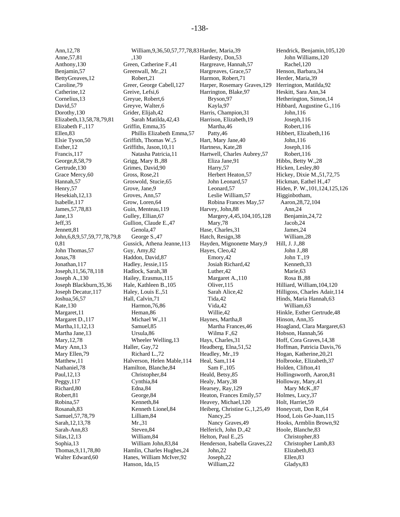Ann,12,78 Anne,57,81 Anthony,130 Benjamin,57 BettyGreaves,12 Caroline,79 Catherine,12 Cornelius,13 David,57 Dorothy,130 Elizabeth,13,58,78,79,81 Elizabeth F.,117 Ellen,83 Elsie Tyson,50 Esther,12 Francis,117 George,8,58,79 Gertrude,130 Grace Mercy,60 Hannah,57 Henry,57 Hesekiah,12,13 Isabelle,117 James,57,78,83 Jane,13 Jeff,35 Jennett,81 John,6,8,9,57,59,77,78,79,8 0,81 John Thomas,57 Jonas,78 Jonathan,117 Joseph,11,56,78,118 Joseph A.,130 Joseph Blackburn,35,36 Joseph Decatur,117 Joshua,56,57 Kate,130 Margaret,11 Margaret D.,117 Martha,11,12,13 Martha Jane,13 Mary,12,78 Mary Ann,13 Mary Ellen,79 Matthew,11 Nathaniel,78 Paul,12,13 Peggy,117 Richard,80 Robert,81 Robina,57 Rosanah,83 Samuel,57,78,79 Sarah,12,13,78 Sarah-Ann,83 Silas,12,13 Sophia,13 Thomas,9,11,78,80 Walter Edward,60

William,9,36,50,57,77,78,83 Harder, Maria,39 ,130 Green, Catherine F.,41 Greenwall, Mr.,21 Robert,21 Greer, George Cabell,127 Greive, Lefsi,6 Greyue, Robert,6 Greyve, Walter,6 Grider, Elijah,42 Sarah Matilda,42,43 Griffin, Emma,35 Phillis Elizabeth Emma,57 Griffith, Thomas W.,5 Griffiths, Jason,10,11 Natasha Patricia,11 Grigg, Mary B.,88 Grimes, David,90 Gross, Rose,21 Groswold, Stucie,65 Grove, Jane,9 Groves, Ann,57 Grow, Loren,64 Guin, Menteau,119 Gulley, Ellian,67 Gullion, Claude E.,47 Genola,47 George S.,47 Gussick, Athena Jeanne,113 Guy, Amy,82 Haddon, David,87 Hadley, Jessie,115 Hadlock, Sarah,38 Hailey, Erasmus,115 Hale, Kathleen B.,105 Haley, Louis E.,51 Hall, Calvin,71 Harmon,76,86 Heman,86 Michael W.,11 Samuel,85 Ursula,86 Wheeler Welling,13 Haller, Gay,72 Richard L.,72 Halverson, Helen Mable,114 Hamilton, Blanche,84 Christopher,84 Cynthia,84 Edna,84 George,84 Kenneth,84 Kenneth Lionel,84 Lilliam,84 Mr.,31 Steven,84 William,84 William John,83,84 Hamlin, Charles Hughes,24 Hanes, William McIver,92 Hanson, Ida,15

Hardesty, Don,53 Hargreave, Hannah,57 Hargreaves, Grace,57 Harmon, Robert,71 Harper, Rosemary Graves,129 Harrington, Blake,97 Bryson,97 Kayla,97 Harris, Champion,31 Harrison, Elizabeth,19 Martha,46 Patty,46 Hart, Mary Jane,40 Hartness, Kate,28 Hartwell, Charles Aubrey,57 Eliza Jane,91 Harry,57 Herbert Heaton,57 John Leonard,57 Leonard,57 Leslie William,57 Robina Frances May,57 Harvey, John,88 Margery,4,45,104,105,128 Mary,78 Hase, Charles,31 Hatch, Resign,38 Hayden, Mignonette Mary,9 Hayes, Cleo,42 Emory,42 Josiah Richard,42 Luther,42 Margaret A.,110 Oliver,115 Sarah Alice,42 Tida,42 Vida,42 Willie,42 Haynes, Martha,8 Martha Frances,46 Wilma F.,62 Hays, Charles,31 Headberg, Elna,51,52 Headley, Mr.,19 Heal, Sam,114 Sam F.,105 Heald, Betsy,85 Healy, Mary,38 Hearsey, Ray,129 Heaton, Frances Emily,57 Heavey, Michael,120 Heiberg, Christine G.,1,25,49 Nancy,25 Nancy Graves,49 Helferich, John D.,42 Helton, Paul E.,25 Henderson, Isabella Graves,22 John,22 Joseph,22 William,22

Hendrick, Benjamin,105,120 John Williams,120 Rachel,120 Henson, Barbara,34 Herder, Maria,39 Herrington, Matilda,92 Heskitt, Sara Ann,34 Hetherington, Simon,14 Hibbard, Augustine G.,116 John,116 Joseph,116 Robert,116 Hibbert, Elizabeth,116 John,116 Joseph,116 Robert,116 Hibbs, Betty W.,28 Hicken, Lesley,80 Hickey, Dixie M.,51,72,75 Hickman, Eathel H.,47 Hiden, P. W.,101,124,125,126 Higginbotham, Aaron,28,72,104 Ann,24 Benjamin,24,72 Jacob,24 James,24 William,28 Hill, J. J.,88 John J.,88 John T.,19 Kenneth,33 Marie,63 Rosa B.,88 Hilliard, William,104,120 Hilligoss, Charles Adair,114 Hinds, Maria Hannah,63 William,63 Hinkle, Esther Gertrude,48 Hinson, Ann,35 Hoagland, Clara Margaret,63 Hobson, Hannah,56 Hoff, Cora Graves,14,38 Hoffman, Patricia Davis,76 Hogan, Katherine,20,21 Holbrooke, Elizabeth,37 Holden, Clifton,41 Hollingsworth, Aaron,81 Holloway, Mary,41 Mary McK.,87 Holmes, Lucy,37 Holt, Harriet,59 Honeycutt, Don R.,64 Hood, Lois Ge-Juan,115 Hooks, Armblin Brown,92 Hoole, Blanche,83 Christopher,83 Christopher Lamb,83 Elizabeth,83 Ellen,83 Gladys,83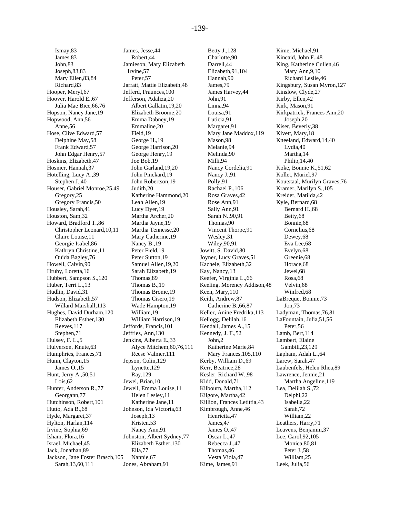Ismay,83 James,83 John,83 Joseph,83,83 Mary Ellen,83,84 Richard,83 Hooper, Meryl,67 Hoover, Harold E.,67 Julia Mae Bice,66,76 Hopson, Nancy Jane,19 Hopwood, Ann,56 Anne,56 Hose, Clive Edward,57 Delphine May,58 Frank Edward,57 John Edgar Henry,57 Hoskins, Elizabeth,47 Hosnier, Hannah,37 Hotelling, Lucy A.,39 Stephen J.,40 Houser, Gabriel Monroe,25,49 Gregory,25 Gregory Francis,50 Housley, Sarah,41 Houston, Sam,32 Howard, Bradford T.,86 Christopher Leonard,10,11 Claire Louise,11 Georgie Isabel,86 Kathryn Christine,11 Ouida Bagley,76 Howell, Calvin,90 Hruby, Loretta,16 Hubbert, Sampson S.,120 Huber, Terri L.,13 Hudlin, David,31 Hudson, Elizabeth,57 Willard Marshall,113 Hughes, David Durham,120 Elizabeth Esther,130 Reeves,117 Stephen,71 Hulsey, F. L.,5 Hulverson, Knute,63 Humphries, Frances,71 Hunn, Clayton,15 James O.,15 Hunt, Jerry A.,50,51 Lois<sub>.62</sub> Hunter, Anderson R.,77 Georgann,77 Hutchinson, Robert,101 Hutto, Ada B.,68 Hyde, Margaret,37 Hylton, Harlan,114 Irvine, Sophia,69 Isham, Flora,16 Israel, Michael,45 Jack, Jonathan,89 Jackson, Jane Foster Brasch,105 Sarah,13,60,111

James, Jesse,44 Robert,44 Jamieson, Mary Elizabeth Irvine,57 Peter,57 Jarratt, Mattie Elizabeth,48 Jefferd, Fraunces,100 Jefferson, Adaliza,20 Albert Gallatin,19,20 Elizabeth Broome,20 Emma Dabney,19 Emmaline,20 Field,19 George H.,19 George Harrison,20 George Henry,19 Joe Bob,19 John Garland,19,20 John Pinckard,19 John Robertson,19 Judith,20 Katherine Hammond,20 Leah Allen,19 Lucy Dyer,19 Martha Archer,20 Martha Jayne,19 Martha Tennesse,20 Mary Catherine,19 Nancy B.,19 Peter Field,19 Peter Sutton,19 Samuel Allen,19,20 Sarah Elizabeth,19 Thomas,89 Thomas B.,19 Thomas Brome,19 Thomas Cisero,19 Wade Hampton,19 William,19 William Harrison,19 Jeffords, Francis,101 Jeffries, Ann,130 Jenkins, Alberta E.,33 Alyce Mitchem,60,76,111 Reese Valmer,111 Jepson, Colin,129 Lynette,129 Ray,129 Jewel, Brian,10 Jewell, Emma Louise,11 Helen Lesley,11 Katherine Jane,11 Johnson, Ida Victoria,63 Joseph,13 Kristen,53 Nancy Ann,91 Johnston, Albert Sydney,77 Elizabeth Esther,130 Ella,77 Nannie,67 Jones, Abraham,91

Betty J.,128 Charlotte,90 Darrell,44 Elizabeth,91,104 Hannah,90 James,79 James Harvey,44 John,91 Linna,94 Louisa,91 Luticia,91 Margaret,91 Mary Jane Maddox,119 Mason,98 Melanie,94 Melinda,90 Milli,94 Nancy Cordelia,91 Nancy J.,91 Polly,91 Rachael P.,106 Rosa Graves,42 Rose Ann,91 Sally Ann,91 Sarah N.,90,91 Thomas,90 Vincent Thorpe,91 Wesley,31 Wiley,90,91 Jowitt, S. David,80 Joyner, Lucy Graves,51 Kachele, Elizabeth,32 Kay, Nancy,13 Keefer, Virginia L.,66 Keeling, Morency Addison,48 Keen, Mary,110 Keith, Andrew,87 Catherine B.,66,87 Keller, Anine Fredrika,113 Kellogg, Delilah,16 Kendall, James A.,15 Kennedy, J. F.,52 John,2 Katherine Marie,84 Mary Frances,105,110 Kerby, William D.,69 Kerr, Beatrice,28 Kesler, Richard W.,98 Kidd, Donald,71 Kilbourn, Martha,112 Kilgore, Martha,42 Killion, Frances Letittia,43 Kimbrough, Anne,46 Henrietta,47 James,47 James O.,47 Oscar L.,47 Rebecca J.,47 Thomas,46 Vesta Viola,47 Kime, James,91

Kime, Michael,91 Kincaid, John F.,48 King, Katherine Cullen,46 Mary Ann, 9, 10 Richard Leslie,46 Kingsbury, Susan Myron,127 Kinslow, Clyde,27 Kirby, Ellen,42 Kirk, Mason,91 Kirkpatrick, Frances Ann,20 Joseph,20 Kiser, Beverly,38 Kivett, Mary,18 Kneeland, Edward,14,40 Lydia,40 Martha,14 Philip,14,40 Koke, Bonnie K.,51,62 Kollet, Muriel,97 Koutstaal, Murilyn Graves,76 Kramer, Marilyn S.,105 Kreider, Matilda,42 Kyle, Bernard,68 Bernard H.,68 Betty,68 Bonnie,68 Cornelius,68 Dewey,68 Eva Lee,68 Evelyn,68 Greenie,68 Horace,68 Jewel,68 Rosa,68 Velvin,68 Winfred,68 LaBreque, Bonnie,73 Jon,73 Ladyman, Thomas,76,81 LaFountain, Julia,51,56 Peter,56 Lamb, Bert,114 Lambert, Elaine Gambill,23,129 Lapham, Adah L.,64 Larew, Sarah,47 Laubenfels, Helen Rhea,89 Lawrence, Jennie,21 Martha Angeline,119 Lea, Delilah S.,72 Delphi,22 Isabella,22 Sarah,72 William,22 Leathers, Harry,71 Leavens, Benjamin,37 Lee, Carol,92,105 Monica,80,81 Peter J.,58 William,25 Leek, Julia,56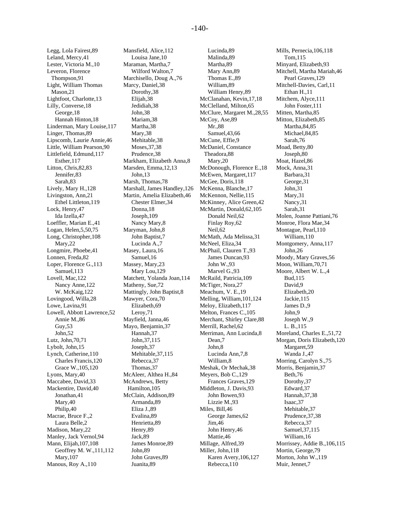Legg, Lola Fairest,89 Leland, Mercy,41 Lester, Victoria M.,10 Leveron, Florence Thompson,91 Light, William Thomas Mason,21 Lightfoot, Charlotte,13 Lilly, Converse,18 George,18 Hannah Hinton,18 Linderman, Mary Louise,117 Linger, Thomas,89 Lipscomb, Laurie Annie,46 Little, William Pearson,90 Littlefield, Edmund,117 Esther,117 Litton, Chris,82,83 Jennifer,83 Sarah,83 Lively, Mary H.,128 Livingston, Ann,21 Ethel Littleton,119 Lock, Henry,47 Ida Izella,47 Loeffler, Marian E.,41 Logan, Helen,5,50,75 Long, Christopher,108 Mary,22 Longmire, Phoebe,41 Lonnen, Freda,82 Loper, Florence G.,113 Samuel,113 Lovell, Mac,122 Nancy Anne,122 W. McKaig,122 Lovingood, Willa,28 Lowe, Lavina,91 Lowell, Abbott Lawrence,52 Annie M.,86 Guy,53 John,52 Lutz, John,70,71 Lybolt, John,15 Lynch, Catherine,110 Charles Francis,120 Grace W.,105,120 Lyons, Mary,40 Maccabee, David,33 Mackentire, David,40 Jonathan,41 Mary,40 Philip,40 Macrae, Bruce F.,2 Laura Belle,2 Madison, Mary,22 Manley, Jack Vernol,94 Mann, Elijah,107,108 Geoffrey M. W.,111,112 Mary,107 Manous, Roy A.,110

Mansfield, Alice,112 Louisa Jane,10 Maraman, Martha,7 Wilford Walton,7 Marchisello, Doug A.,76 Marcy, Daniel,38 Dorothy,38 Elijah,38 Jedidiah,38 John,38 Mariam,38 Martha,38 Mary,38 Mehitable,38 Moses,37,38 Prudence,38 Markham, Elizabeth Anna,8 Marsden, Emma,12,13 John,13 Marsh, Thomas,78 Marshall, James Handley,126 Martin, Amelia Elizabeth,46 Chester Elmer,34 Donna,18 Joseph,109 Nancy Mary,8 Maryman, John,8 John Baptist,7 Lucinda A.,7 Masey, Laura,16 Samuel,16 Massey, Mary,23 Mary Lou,129 Matchett, Yolanda Joan,114 Matheny, Sue,72 Mattingly, John Baptist,8 Mawyer, Cora,70 Elizabeth,69 Leroy,71 Mayfield, Janna,46 Mayo, Benjamin,37 Hannah,37 John,37,115 Joseph,37 Mehitable,37,115 Rebecca,37 Thomas,37 McAleer, Althea H.,84 McAndrews, Betty Hamilton,105 McClain, Addison,89 Armanda,89 Eliza J.,89 Evalina,89 Henrietta,89 Henry,89 Jack,89 James Monroe,89 John,89 John Graves,89 Juanita,89

Lucinda,89 Malinda,89 Martha,89 Mary Ann,89 Thomas E.,89 William,89 William Henry,89 McClanahan, Kevin,17,18 McClelland, Milton,65 McClure, Margaret M.,28,55 McCoy, Ase,89 Mr.,88 Samuel,43,66 McCune, Effie, 9 McDaniel, Constance Theadora,88 Mary,20 McDonough, Florence E.,18 McEwen, Margaret,117 McGee, Doris,118 McKenna, Blanche,17 McKennon, Nellie,115 McKinney, Alice Green,42 McMartin, Donald,62,105 Donald Neil,62 Finlay Roy,62 Neil,62 McMath, Ada Melissa,31 McNeel, Eliza,34 McPhail, Clauren T.,93 James Duncan,93 John W.,93 Marvel G.,93 McRaild, Patricia,109 McTiger, Nora,27 Meachum, V. E.,19 Melling, William,101,124 Meloy, Elizabeth,117 Melton, Frances C.,105 Merchant, Shirley Clare,88 Merrill, Rachel,62 Merriman, Ann Lucinda,8 Dean,7 John,8 Lucinda Ann,7,8 William,8 Meshak, Or Mechak,38 Meyers, Bob C.,129 Frances Graves,129 Middleton, J. Davis,93 John Bowen,93 Lizzie M.,93 Miles, Bill,46 George James,62 Jim,46 John Henry,46 Mattie,46 Millage, Alfred,39 Miller, John,118 Karen Avery,106,127 Rebecca,110

Mills, Pernecia,106,118 Tom,115 Minyard, Elizabeth,93 Mitchell, Martha Mariah,46 Pearl Graves,129 Mitchell-Davies, Carl,11 Ethan H.,11 Mitchem, Alyce,111 John Foster,111 Mitten, Martha,85 Mitton, Elizabeth,85 Martha,84,85 Michael,84,85 Sarah,76 Moad, Betty,80 Joseph,80 Moat, Hazel,86 Mock, Anna,31 Barbara,31 George,31 John,31 Mary,31 Nancy,31 Sarah,31 Molen, Joanne Pattiani,76 Monroe, Flora Mae,34 Montague, Pearl,110 William,110 Montgomery, Anna,117 John,26 Moody, Mary Graves,56 Moon, William,70,71 Moore, Albert W. L.,4 Bud,115 David,9 Elizabeth,20 Jackie,115 James D.,9 John,9 Joseph W.,9 L. B.,115 Moreland, Charles E.,51,72 Morgan, Doris Elizabeth,120 Margaret,59 Wanda J.,47 Morring, Carolyn S.,75 Morris, Benjamin,37 Beth,76 Dorothy,37 Edward,37 Hannah,37,38 Isaac,37 Mehitable,37 Prudence,37,38 Rebecca,37 Samuel,37,115 William,16 Morrissey, Addie B.,106,115 Mortin, George,79 Morton, John W.,119 Muir, Jennet,7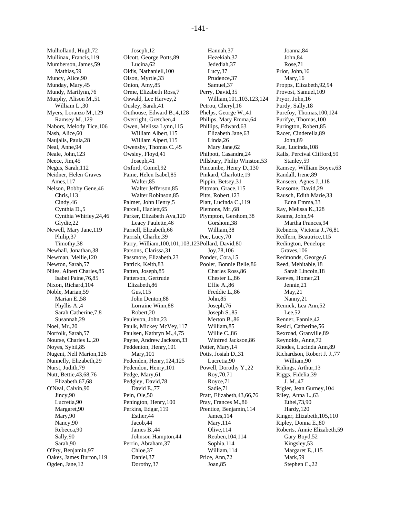Mulholland, Hugh,72 Mullinax, Francis,119 Mumberson, James,59 Mathias,59 Muncy, Alice,90 Munday, Mary,45 Mundy, Marilynn,76 Murphy, Alison M.,51 William L.,30 Myers, Loranzo M.,129 Ramsey M.,129 Nabors, Melody Tice,106 Nash, Alice,60 Naujalis, Paula,28 Neal, Anne,94 Neale, John,123 Neece, Jim,45 Negus, Sarah,112 Neidner, Helen Graves Ames,117 Nelson, Bobby Gene,46 Chris,113 Cindy,46 Cynthia D.,5 Cynthia Whirley,24,46 Glydie,22 Newell, Mary Jane,119 Philip,37 Timothy,38 Newhall, Jonathan,38 Newman, Mellie,120 Newton, Sarah,57 Niles, Albert Charles,85 Isabel Paine,76,85 Nixon, Richard,104 Noble, Marian,59 Marian E.,58 Phyllis A.,4 Sarah Catherine,7,8 Susannah,29 Noel, Mr.,20 Norfolk, Sarah,57 Nourse, Charles L.,20 Noyes, Sybil,85 Nugent, Nell Marion,126 Nunnelly, Elizabeth,29 Nurst, Judith,79 Nutt, Bettie,43,68,76 Elizabeth,67,68 O'Neal, Calvin,90 Jincy,90 Lucretia,90 Margaret,90 Mary,90 Nancy,90 Rebecca,90 Sally,90 Sarah,90 O'Pry, Benjamin,97 Oakes, James Burton,119 Ogden, Jane,12

Joseph,12 Olcott, George Potts,89 Lucina<sub>.62</sub> Oldis, Nathaniell,100 Olson, Myrtle,33 Onion, Amy,85 Orme, Elizabeth Ross,7 Oswald, Lee Harvey,2 Ousley, Sarah,41 Outhouse, Edward B.,4,128 Overright, Gretchen,4 Owen, Melissa Lynn,115 William Albert,115 William Alpert,115 Owensby, Thomas C.,45 Owsley, Floyd,41 Joseph,41 Oxford, Comel,92 Paine, Helen Isabel,85 Walter,85 Walter Jefferson,85 Walter Robinson,85 Palmer, John Henry,5 Parcell, Hazlett,65 Parker, Elizabeth Ava,120 Leacy Paulette,46 Parnell, Elizabeth,66 Parrish, Charlie,39 Parry, William,100,101,103,123Pollard, David,80 Parsons, Clarissa,31 Passmore, Elizabeth,23 Patrick, Keith,83 Patten, Joseph,85 Patterson, Gertrude Elizabeth,86 Gus,115 John Denton,88 Lorraine Winn,88 Robert,20 Paulevon, John,23 Paulk, Mickey McVey,117 Paulsen, Kathryn M.,4,75 Payne, Andrew Jackson,33 Peddenton, Henry,101 Mary,101 Pedenden, Henry,124,125 Pedendon, Henry,101 Pedge, Mary,61 Pedgley, David,78 David E.,77 Pein, Ole,50 Penington, Henry,100 Perkins, Edgar,119 Esther,44 Jacob,44 James B.,44 Johnson Hampton,44 Perrin, Abraham,37 Chloe,37 Daniel,37 Dorothy,37

Hannah,37 Hezekiah,37 Jedediah,37 Lucy,37 Prudence,37 Samuel,37 Perry, David,35 William,101,103,123,124 Petrou, Cheryl,16 Phelps, George W.,41 Philips, Mary Emma,64 Phillips, Edward,63 Elizabeth Jane,63 Linda,26 Mary Jane,62 Philpott, Casandra,24 Pillsbury, Philip Winston,53 Pincumbe, Henry D.,130 Pinkard, Charlotte,19 Pippin, Betsey,31 Pittman, Grace,115 Pitts, Robert,123 Platt, Lucinda C.,119 Plemons, Mr.,68 Plympton, Gershom,38 Gorshom,38 William,38 Poe, Lucy,70 Joy,78,106 Ponder, Cora,15 Pooler, Bonnie Belle,86 Charles Ross,86 Chester L. 86 Effie A.,86 Freddie L.,86 John,85 Joseph,76 Joseph S.,85 Merton B.,86 William,85 Willie C.,86 Winfred Jackson,86 Potter, Mary,14 Potts, Josiah D.,31 Lucretia,90 Powell, Dorothy Y.,22 Roy,70,71 Royce,71 Sadie,71 Pratt, Elizabeth,43,66,76 Pray, Frances M.,86 Prentice, Benjamin,114 James,114 Mary,114 Olive,114 Reuben,104,114 Sophia,114 William,114 Price, Ann,72 Joan,85

Joanna,84 John,84 Rose,71 Prior, John,16 Mary,16 Propps, Elizabeth,92,94 Provost, Samuel,109 Pryor, John,16 Purdy, Sally,18 Purefoy, Thomas,100,124 Purifye, Thomas,100 Purington, Robert,85 Racer, Cinderella,89 John,89 Rae, Lucinda,108 Ralls, Percival Clifford,59 Stanley,59 Ramsey, William Boyes,63 Randall, Irene,89 Ranseen, Agnes J.,118 Ransome, David,29 Rausch, Edith Marie,33 Edna Emma,33 Ray, Melissa K.,128 Reams, John,94 Martha Frances,94 Rebneris, Victoria J.,76,81 Redfern, Beautrice,115 Redington, Penelope Graves,106 Redmonds, George,6 Reed, Mehitable,18 Sarah Lincoln,18 Reeves, Homer,21 Jennie,21 May,21 Nanny,21 Remick, Lea Ann,52 Lee,52 Renner, Fannie,42 Resici, Catherine,56 Rexroad, Granville,89 Reynolds, Anne,72 Rhodes, Lucinda Ann,89 Richardson, Robert J. J.,77 William,90 Ridings, Arthur,13 Riggs, Fidelia,39 J. M.,47 Rigler, Jean Gurney,104 Riley, Anna L.,63 Ethel,73,90 Hardy,120 Ringer, Elizabeth,105,110 Ripley, Donna E.,80 Roberts, Annie Elizabeth,59 Gary Boyd,52 Kingsley,53 Margaret E.,115 Mark,59 Stephen C.,22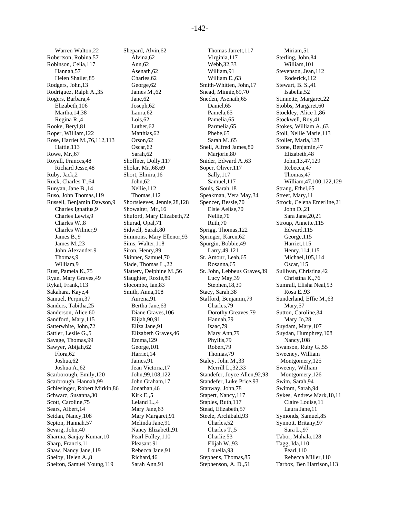Warren Walton,22 Robertson, Robina,57 Robinson, Celia,117 Hannah,57 Helen Shailer,85 Rodgers, John,13 Rodriguez, Ralph A.,35 Rogers, Barbara,4 Elizabeth,106 Martha,14,38 Regina R.,4 Rooke, Beryl,81 Roper, William,122 Rose, Harriet M.,76,112,113 Hattie,113 Rowe, Mr.,67 Royall, Frances,48 Richard Jesse,48 Ruby, Jack,2 Ruck, Charles T.,64 Runyan, Jane B.,14 Ruso, John Thomas,119 Russell, Benjamin Dawson,9 Charles Ignatius,9 Charles Lewis,9 Charles W.,8 Charles Wilmer,9 James B.,9 James M.,23 John Alexander,9 Thomas<sub>9</sub> William,9 Rust, Pamela K.,75 Ryan, Mary Graves,49 Rykal, Frank,113 Sakahara, Kaye,4 Samuel, Perpin,37 Sanders, Tabitha,25 Sanderson, Alice,60 Sandford, Mary,115 Satterwhite, John,72 Sattler, Leslie G.,5 Savage, Thomas,99 Sawyer, Abijah,62 Flora,62 Joshua,62 Joshua A.,62 Scarborough, Emily,120 Scarbrough, Hannah,99 Schlesinger, Robert Mirkin,86 Schwarz, Susanna,30 Scott, Caroline,75 Sears, Albert,14 Seidan, Nancy,108 Septon, Hannah,57 Sevarg, John,40 Sharma, Sanjay Kumar,10 Sharp, Francis,11 Shaw, Nancy Jane,119 Shelby, Helen A.,8 Shelton, Samuel Young,119

Shepard, Alvin,62 Alvina,62 Ann,62 Asenath,62 Charles,62 George,62 James M.,62 Jane,62 Joseph,62 Laura,62 Lois,62 Luther,62 Matthias,62 Orson,62 Oscar,62 Sarah,62 Shoffner, Dolly,117 Sholar, Mr.,68,69 Short, Elmira,16 John,62 Nellie,112 Thomas,112 Shortsleeves, Jennie,28,128 Showalter, Mr.,16 Shuford, Mary Elizabeth,72 Shurad, Opal,71 Sidwell, Sarah,80 Simmons, Mary Ellenor,93 Sims, Walter,118 Siron, Henry,89 Skinner, Samuel,70 Slade, Thomas L.,22 Slattery, Delphine M.,56 Slaughter, Roxie,89 Slocombe, Ian,83 Smith, Anna,108 Aurena,91 Bertha Jane,63 Diane Graves,106 Elijah,90,91 Eliza Jane,91 Elizabeth Graves,46 Emma,129 George,101 Harriet,14 James,91 Jean Victoria,17 John,99,108,122 John Graham,17 Jonathan,46 Kirk E.,5 Leland L.,4 Mary Jane,63 Mary Margaret,91 Melinda Jane,91 Nancy Elizabeth,91 Pearl Folley,110 Pleasant,91 Rebecca Jane,91 Richard,46 Sarah Ann,91

Thomas Jarrett,117 Virginia,117 Webb,32,33 William,91 William E.,63 Smith-Whitten, John,17 Snead, Minnie,69,70 Sneden, Asenath,65 Daniel,65 Pamela,65 Pamelia,65 Parmelia,65 Phebe,65 Sarah M.,65 Snell, Alfred James,80 Marjorie,80 Snider, Edward A.,63 Soper, Oliver,117 Sally,117 Samuel,117 Souls, Sarah,18 Speakman, Vera May,34 Spencer, Bessie,70 Elsie Aelise,70 Nellie,70 Ruth,70 Sprigg, Thomas,122 Springer, Karen,62 Spurgin, Bobbie,49 Larry,49,121 St. Amour, Leah,65 Rosanna,65 St. John, Lebbeus Graves,39 Lucy May,39 Stephen,18,39 Stacy, Sarah,38 Stafford, Benjamin,79 Charles,79 Dorothy Greaves,79 Hannah,79 Isaac,79 Mary Ann,79 Phyllis,79 Robert,79 Thomas,79 Staley, John M.,33 Merrill L.,32,33 Standefer, Joyce Allen,92,93 Standefer, Luke Price,93 Stanway, John,78 Stapert, Nancy,117 Staples, Ruth,117 Stead, Elizabeth,57 Steele, Archibald,93 Charles,52 Charles T.,5 Charlie,53 Elijah W.,93 Louella,93 Stephens, Thomas,85 Stephenson, A. D.,51

Miriam,51 Sterling, John,84 William,101 Stevenson, Jean,112 Roderick,112 Stewart, B. S.,41 Isabella,52 Stinnette, Margaret,22 Stobbs, Margaret,60 Stockley, Alice I.,86 Stockwell, Roy,41 Stokes, William A.,63 Stoll, Nellie Marie,113 Stoller, Maria,128 Stone, Benjamin,47 Elizabeth,48 John,13,47,129 Rebecca,47 Thomas,47 William,47,100,122,129 Strang, Ethel,65 Street, Mary,11 Strock, Celena Emerline,21 John D.,21 Sara Jane,20,21 Stroup, Annette,115 Edward,115 George,115 Harriet,115 Henry,114,115 Michael,105,114 Oscar, 115 Sullivan, Christina,42 Christina K.,76 Sumrall, Elisha Neal,93 Rosa E.,93 Sunderland, Effie M.,63 Mary,57 Sutton, Caroline,34 Mary Jo,28 Suydam, Mary,107 Suydan, Humphrey,108 Nancy,108 Swanson, Ruby G.,55 Sweeney, William Montgomery,125 Sweeny, William Montgomery,126 Swim, Sarah,94 Swimm, Sarah,94 Sykes, Andrew Mark,10,11 Claire Louise,11 Laura Jane,11 Symonds, Samuel,85 Synnott, Britany,97 Sara L.,97 Tabor, Mahala,128 Tagg, Ida,110 Pearl,110 Rebecca Miller,110 Tarbox, Ben Harrison,113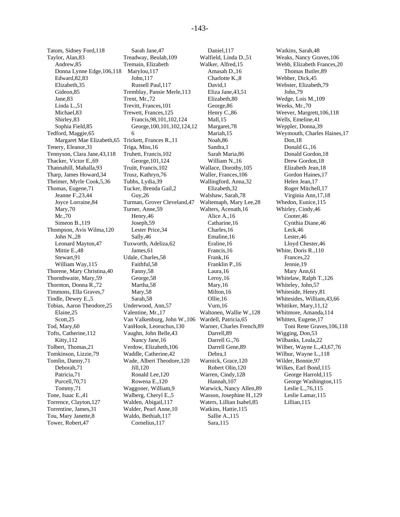Tatom, Sidney Ford,118 Taylor, Alan,83 Andrew,85 Donna Lynne Edge,106,118 Marylou,117 Edward,82,83 Elizabeth,35 Gideon,85 Jane,83 Linda L.,51 Michael,83 Shirley,83 Sophia Field,85 Tedford, Maggie,65 Margaret Mae Elizabeth,65 Trickett, Frances R.,11 Tenery, Eleanor,31 Tennyson, Clara Jane,43,118 Thacker, Victor E.,69 Thannahill, Mahalla,93 Tharp, James Howard,34 Theimer, Myrle Cook,5,36 Thomas, Eugene,71 Jeanne F.,23,44 Joyce Lorraine,84 Mary,70 Mr.,70 Simeon B.,119 Thompson, Avis Wilma,120 John N.,28 Leonard Mayton,47 Mittie E.,48 Stewart,91 William Way,115 Thorene, Mary Christina,40 Thornthwaite, Mary,59 Thornton, Donna R.,72 Timmons, Ella Graves,7 Tindle, Dewey E.,5 Tobias, Aaron Theodore,25 Elaine,25 Scott,25 Tod, Mary,60 Tofts, Catherine,112 Kitty,112 Tolbert, Thomas,21 Tomkinson, Lizzie,79 Tomlin, Danny,71 Deborah,71 Patricia,71 Purcell,70,71 Tommy,71 Tone, Isaac E.,41 Torrence, Clayton,127 Torrentine, James,31 Tou, Mary Janette,8 Tower, Robert,47

Sarah Jane,47 Treadway, Beulah,109 Tremain, Elizabeth John,117 Russell Paul,117 Tremblay, Pansie Merle,113 Trent, Mr.,72 Trevitt, Frances,101 Trewett, Frances,125 Francis,98,101,102,124 George,100,101,102,124,12 6 Triga, Miss,16 Truhett, Francis,102 George,101,124 Truitt, Francis,102 Trusz, Kathryn,76 Tubbs, Lydia,39 Tucker, Brenda Gail,2 Guy,26 Turman, Grover Cleveland,47 Turner, Anne,59 Henry,46 Joseph,59 Lester Price,34 Sally,46 Tuxworth, Adeliza,62 James,61 Udale, Charles,58 Faithful,58 Fanny,58 George,58 Martha,58 Mary,58 Sarah,58 Underwood, Ann,57 Valentine, Mr.,17 Van Valkenburg, John W.,106 VanHook, Leoruchus,130 Vaughn, John Belle,43 Nancy Jane,16 Verdow, Elizabeth,106 Waddle, Catherine,42 Wade, Albert Theodore,120 Jill,120 Ronald Lee,120 Rowena E.,120 Waggoner, William,9 Walberg, Cheryl E.,5 Walden, Abigail,117 Walder, Pearl Anne,10 Waldo, Bethiah,117 Cornelius,117

Daniel,117 Walfield, Linda D.,51 Walker, Alfred,15 Amasah D.,16 Charlotte K.,8 David<sub>1</sub> Eliza Jane,43,51 Elizabeth,80 George,86 Henry C.,86 Mall,15 Margaret,78 Mariah,15 Noah,86 Sandra,1 Sarah Maria,86 William N.,16 Wallace, Dorothy,105 Waller, Frances,106 Wallingford, Anna,32 Elizabeth,32 Walshaw, Sarah,78 Waltemaph, Mary Lee,28 Walters, Acenath,16 Alice A.,16 Catharine,16 Charles,16 Emaline,16 Eraline,16 Francis,16 Frank,16 Franklin P.,16 Laura,16 Leroy,16 Mary,16 Milton,16 Ollie,16 Vurn,16 Waltonen, Wallie W.,128 Wardell, Patricia,65 Warner, Charles French,89 Darrell,89 Darrell G.,76 Darrell Gene,89 Debra,1 Warnick, Grace,120 Robert Olin,120 Warren, Cindy,128 Hannah,107 Warwick, Nancy Allen,89 Wasson, Josephine H.,129 Waters, Lillian Isabel,85 Watkins, Hattie,115 Sallie A.,115 Sara,115

Watkins, Sarah,48 Weaks, Nancy Graves,106 Webb, Elizabeth Frances,20 Thomas Butler,89 Webber, Dick,45 Webster, Elizabeth,79 John,79 Wedge, Lois M.,109 Weeks, Mr.,70 Weever, Margrett,106,118 Wells, Emeline,41 Weppler, Donna,39 Weymouth, Charles Haines,17 Don,18 Donald G.,16 Donald Gordon,18 Drew Gordon,18 Elizabeth Jean,18 Gordon Haines,17 Helen Jean,17 Roger Mitchell,17 Virginia Ann,17,18 Whedon, Eunice,115 Whirley, Cindy,46 Cooter,46 Cynthia Diane,46 Leck,46 Lester,46 Lloyd Chester,46 White, Doris R.,110 Frances,22 Jennie,19 Mary Ann,61 Whitelaw, Ralph T.,126 Whiteley, John,57 Whiteside, Henry,81 Whitesides, William,43,66 Whitiker, Mary,11,12 Whitmore, Amanda,114 Whitten, Eugene,17 Toni Rene Graves,106,118 Wigging, Don,53 Wilbanks, Leala,22 Wilber, Wayne L.,43,67,76 Wilbur, Wayne L.,118 Wilder, Bonnie,97 Wilkes, Earl Bond,115 George Harrold,115 George Washington,115 Leslie L.,76,115 Leslie Lamar,115 Lillian,115